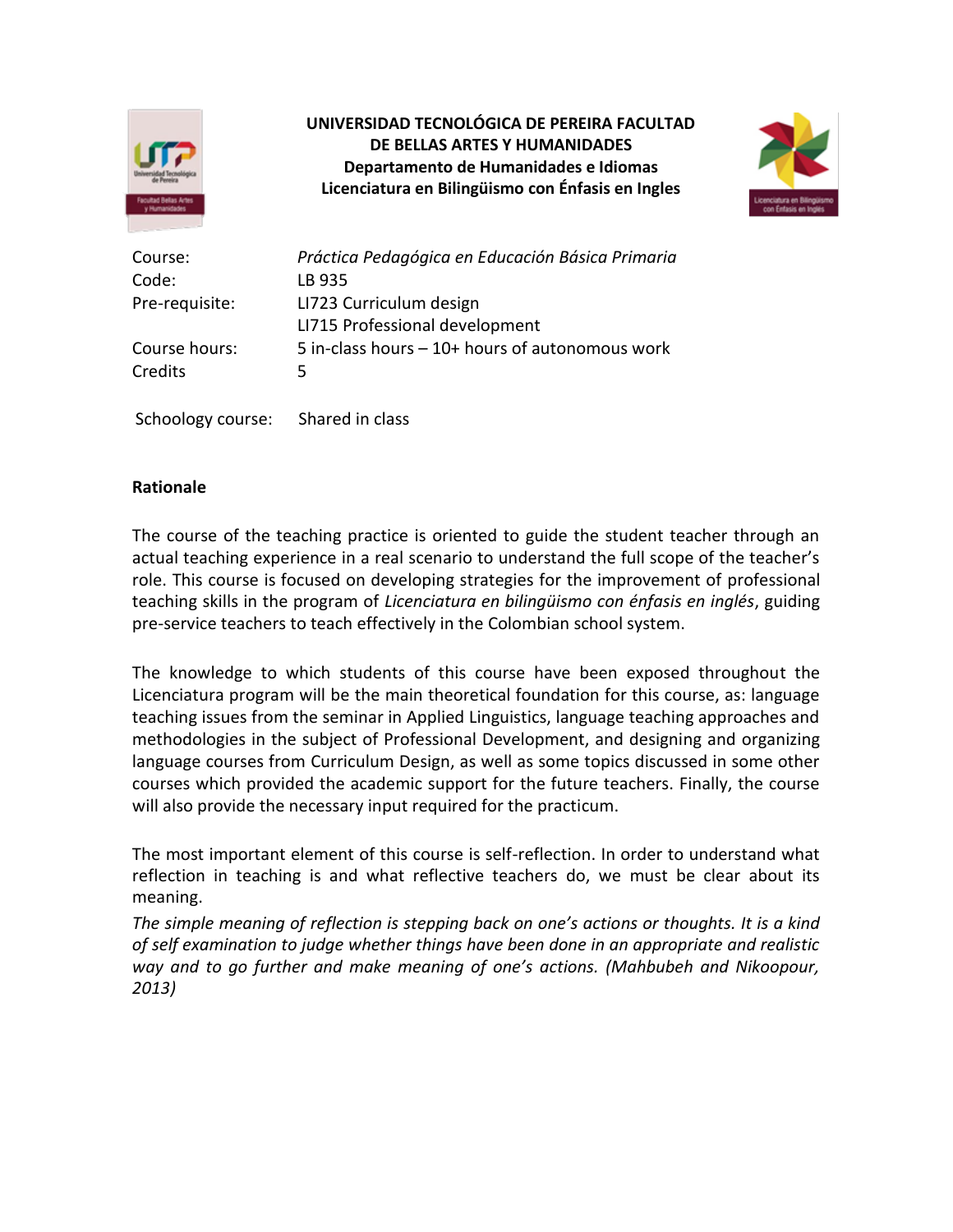

## **UNIVERSIDAD TECNOLÓGICA DE PEREIRA FACULTAD DE BELLAS ARTES Y HUMANIDADES Departamento de Humanidades e Idiomas Licenciatura en Bilingüismo con Énfasis en Ingles**



| Course:        | Práctica Pedagógica en Educación Básica Primaria |
|----------------|--------------------------------------------------|
|                |                                                  |
| Code:          | LB 935                                           |
| Pre-requisite: | LI723 Curriculum design                          |
|                | LI715 Professional development                   |
| Course hours:  | 5 in-class hours $-10+$ hours of autonomous work |
| Credits        | 5                                                |
|                |                                                  |

Schoology course: Shared in class

### **Rationale**

The course of the teaching practice is oriented to guide the student teacher through an actual teaching experience in a real scenario to understand the full scope of the teacher's role. This course is focused on developing strategies for the improvement of professional teaching skills in the program of *Licenciatura en bilingüismo con énfasis en inglés*, guiding pre-service teachers to teach effectively in the Colombian school system.

The knowledge to which students of this course have been exposed throughout the Licenciatura program will be the main theoretical foundation for this course, as: language teaching issues from the seminar in Applied Linguistics, language teaching approaches and methodologies in the subject of Professional Development, and designing and organizing language courses from Curriculum Design, as well as some topics discussed in some other courses which provided the academic support for the future teachers. Finally, the course will also provide the necessary input required for the practicum.

The most important element of this course is self-reflection. In order to understand what reflection in teaching is and what reflective teachers do, we must be clear about its meaning.

*The simple meaning of reflection is stepping back on one's actions or thoughts. It is a kind of self examination to judge whether things have been done in an appropriate and realistic way and to go further and make meaning of one's actions. (Mahbubeh and Nikoopour, 2013)*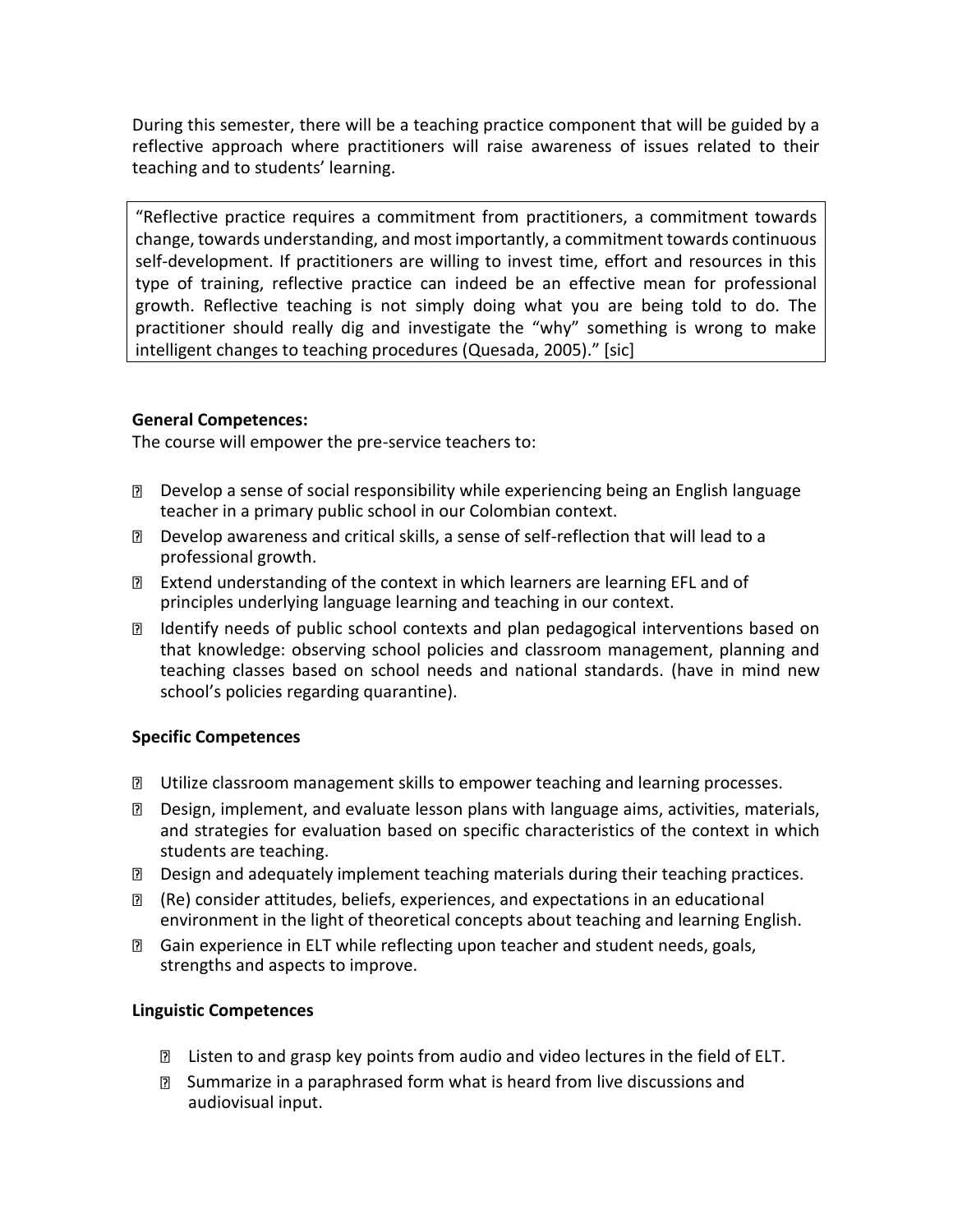During this semester, there will be a teaching practice component that will be guided by a reflective approach where practitioners will raise awareness of issues related to their teaching and to students' learning.

"Reflective practice requires a commitment from practitioners, a commitment towards change, towards understanding, and most importantly, a commitment towards continuous self-development. If practitioners are willing to invest time, effort and resources in this type of training, reflective practice can indeed be an effective mean for professional growth. Reflective teaching is not simply doing what you are being told to do. The practitioner should really dig and investigate the "why" something is wrong to make intelligent changes to teaching procedures (Quesada, 2005)." [sic]

## **General Competences:**

The course will empower the pre-service teachers to:

- Develop a sense of social responsibility while experiencing being an English language teacher in a primary public school in our Colombian context.
- Develop awareness and critical skills, a sense of self-reflection that will lead to a professional growth.
- Extend understanding of the context in which learners are learning EFL and of principles underlying language learning and teaching in our context.
- Identify needs of public school contexts and plan pedagogical interventions based on that knowledge: observing school policies and classroom management, planning and teaching classes based on school needs and national standards. (have in mind new school's policies regarding quarantine).

## **Specific Competences**

- Utilize classroom management skills to empower teaching and learning processes.
- Design, implement, and evaluate lesson plans with language aims, activities, materials, and strategies for evaluation based on specific characteristics of the context in which students are teaching.
- Design and adequately implement teaching materials during their teaching practices.
- (Re) consider attitudes, beliefs, experiences, and expectations in an educational environment in the light of theoretical concepts about teaching and learning English.
- Gain experience in ELT while reflecting upon teacher and student needs, goals, strengths and aspects to improve.

## **Linguistic Competences**

- **I** Listen to and grasp key points from audio and video lectures in the field of ELT.
- Summarize in a paraphrased form what is heard from live discussions and audiovisual input.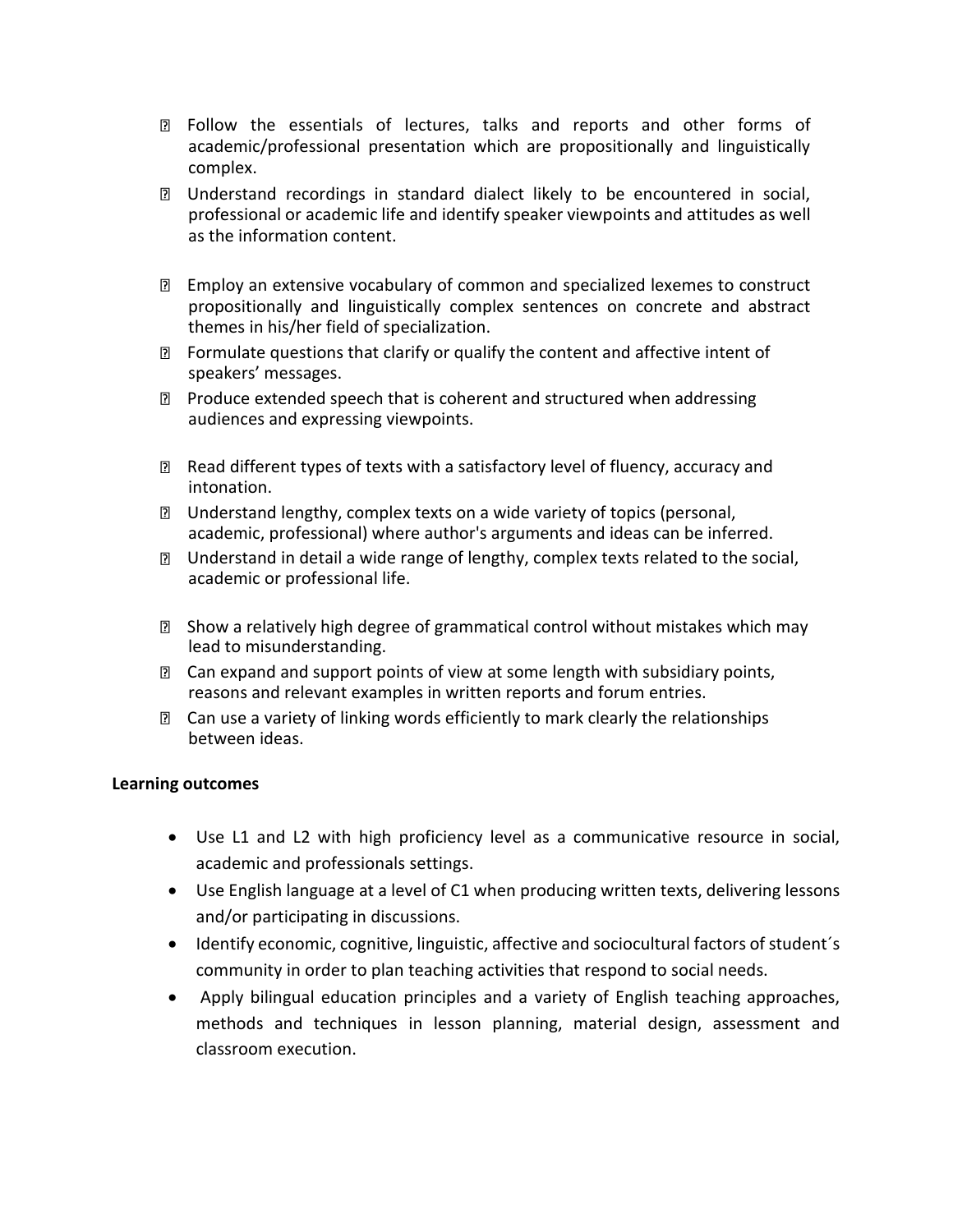- Follow the essentials of lectures, talks and reports and other forms of academic/professional presentation which are propositionally and linguistically complex.
- Understand recordings in standard dialect likely to be encountered in social, professional or academic life and identify speaker viewpoints and attitudes as well as the information content.
- Employ an extensive vocabulary of common and specialized lexemes to construct propositionally and linguistically complex sentences on concrete and abstract themes in his/her field of specialization.
- $\mathbb D$  Formulate questions that clarify or qualify the content and affective intent of speakers' messages.
- **Produce extended speech that is coherent and structured when addressing** audiences and expressing viewpoints.
- Read different types of texts with a satisfactory level of fluency, accuracy and intonation.
- Understand lengthy, complex texts on a wide variety of topics (personal, academic, professional) where author's arguments and ideas can be inferred.
- Understand in detail a wide range of lengthy, complex texts related to the social, academic or professional life.
- Show a relatively high degree of grammatical control without mistakes which may lead to misunderstanding.
- $\mathbb D$  Can expand and support points of view at some length with subsidiary points, reasons and relevant examples in written reports and forum entries.
- **I** Can use a variety of linking words efficiently to mark clearly the relationships between ideas.

## **Learning outcomes**

- Use L1 and L2 with high proficiency level as a communicative resource in social, academic and professionals settings.
- Use English language at a level of C1 when producing written texts, delivering lessons and/or participating in discussions.
- Identify economic, cognitive, linguistic, affective and sociocultural factors of student´s community in order to plan teaching activities that respond to social needs.
- Apply bilingual education principles and a variety of English teaching approaches, methods and techniques in lesson planning, material design, assessment and classroom execution.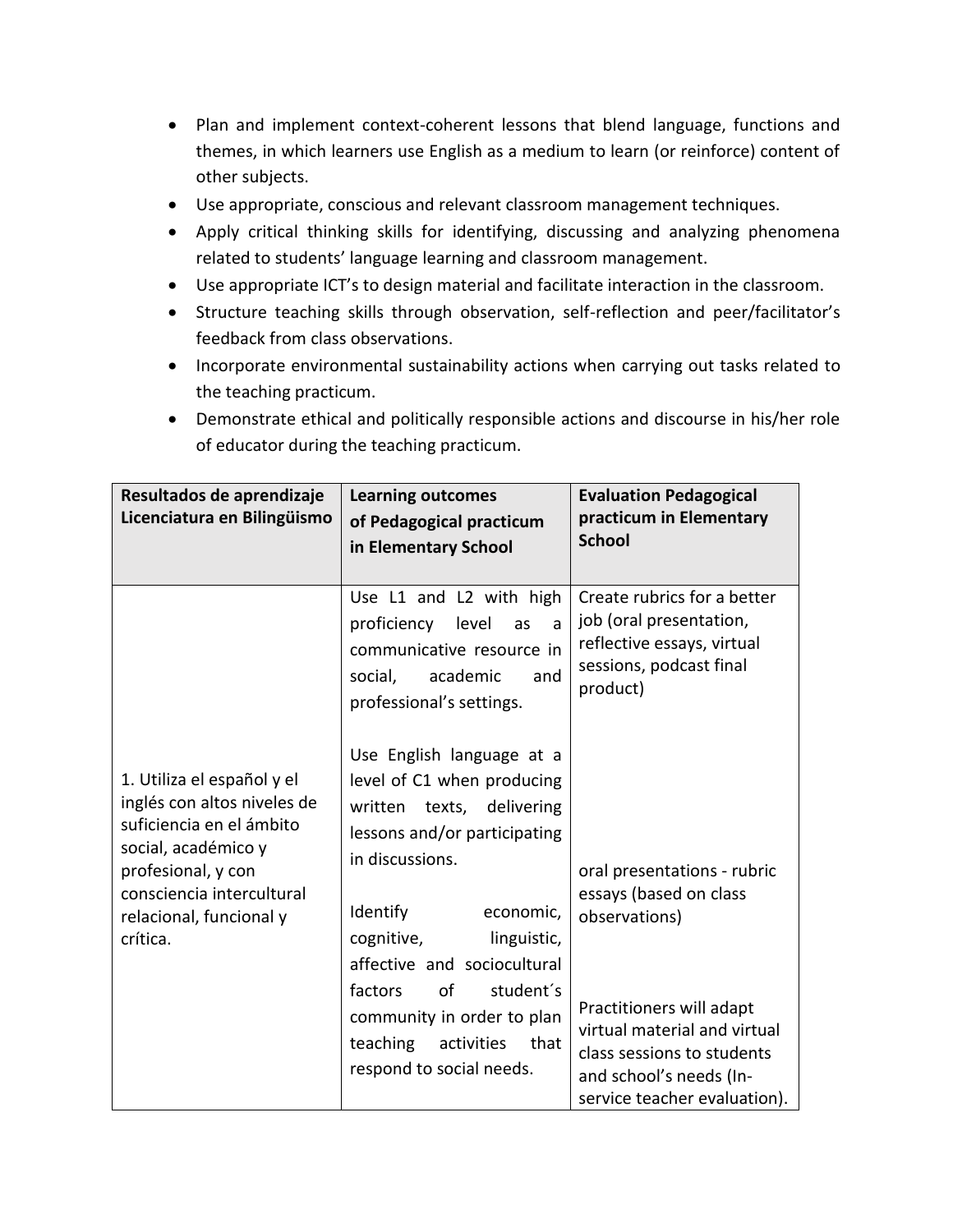- Plan and implement context-coherent lessons that blend language, functions and themes, in which learners use English as a medium to learn (or reinforce) content of other subjects.
- Use appropriate, conscious and relevant classroom management techniques.
- Apply critical thinking skills for identifying, discussing and analyzing phenomena related to students' language learning and classroom management.
- Use appropriate ICT's to design material and facilitate interaction in the classroom.
- Structure teaching skills through observation, self-reflection and peer/facilitator's feedback from class observations.
- Incorporate environmental sustainability actions when carrying out tasks related to the teaching practicum.
- Demonstrate ethical and politically responsible actions and discourse in his/her role of educator during the teaching practicum.

| Resultados de aprendizaje<br>Licenciatura en Bilingüismo                                                                                                                                               | <b>Learning outcomes</b><br>of Pedagogical practicum<br>in Elementary School                                                                                                                                                                                                                                                                              | <b>Evaluation Pedagogical</b><br>practicum in Elementary<br><b>School</b>                                                                                                                                                   |
|--------------------------------------------------------------------------------------------------------------------------------------------------------------------------------------------------------|-----------------------------------------------------------------------------------------------------------------------------------------------------------------------------------------------------------------------------------------------------------------------------------------------------------------------------------------------------------|-----------------------------------------------------------------------------------------------------------------------------------------------------------------------------------------------------------------------------|
|                                                                                                                                                                                                        | Use L1 and L2 with high<br>proficiency level<br>as<br>a<br>communicative resource in<br>academic<br>and<br>social,<br>professional's settings.                                                                                                                                                                                                            | Create rubrics for a better<br>job (oral presentation,<br>reflective essays, virtual<br>sessions, podcast final<br>product)                                                                                                 |
| 1. Utiliza el español y el<br>inglés con altos niveles de<br>suficiencia en el ámbito<br>social, académico y<br>profesional, y con<br>consciencia intercultural<br>relacional, funcional y<br>crítica. | Use English language at a<br>level of C1 when producing<br>texts, delivering<br>written<br>lessons and/or participating<br>in discussions.<br>Identify<br>economic,<br>cognitive,<br>linguistic,<br>affective and sociocultural<br>of<br>student's<br>factors<br>community in order to plan<br>teaching<br>activities<br>that<br>respond to social needs. | oral presentations - rubric<br>essays (based on class<br>observations)<br>Practitioners will adapt<br>virtual material and virtual<br>class sessions to students<br>and school's needs (In-<br>service teacher evaluation). |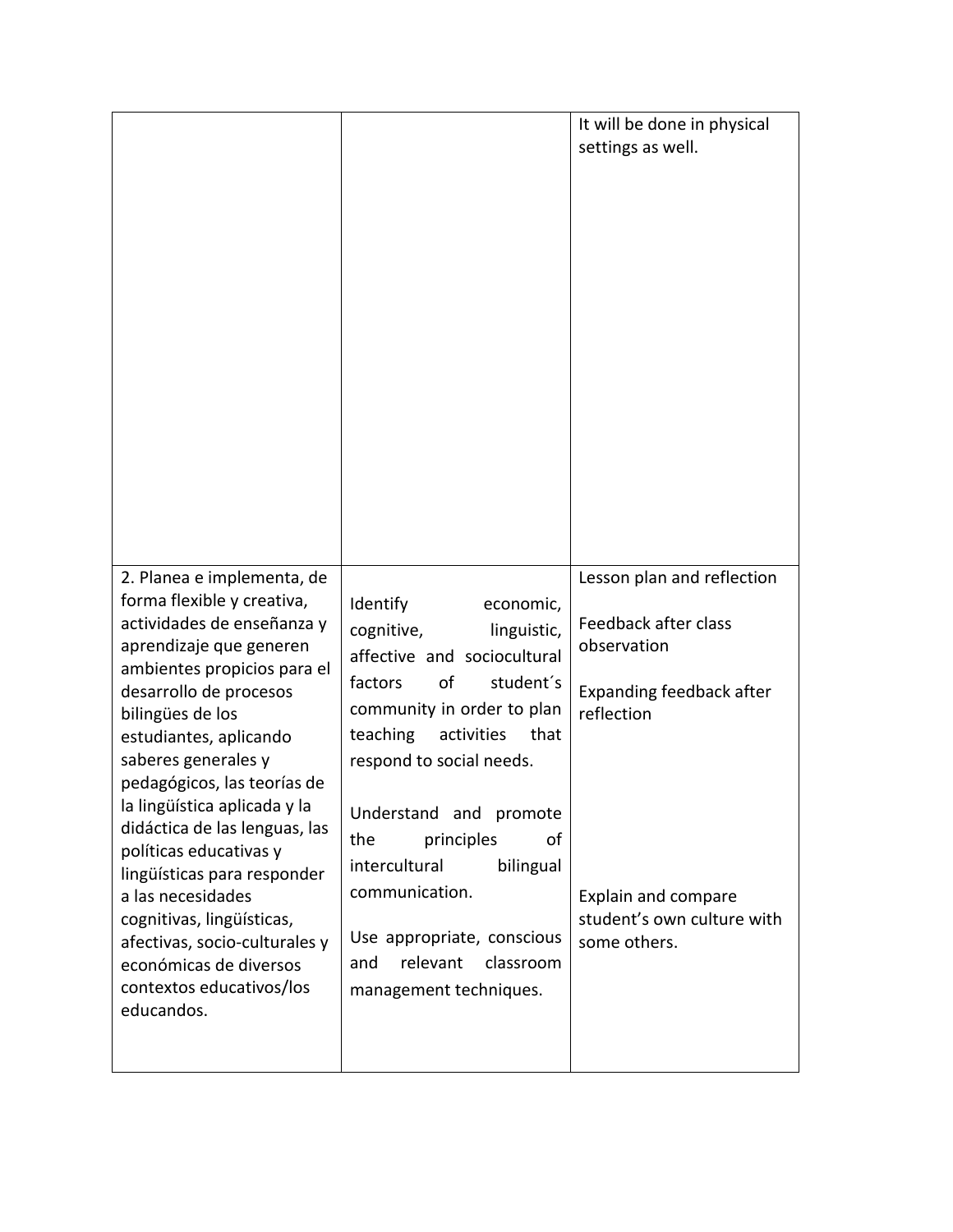|                                                                                                                                                                                                                                                                                                                                                                                                                                                                                                                                                                 |                                                                                                                                                                                                                                                                                                                                                                                                                 | It will be done in physical<br>settings as well.                                                                                                                                 |
|-----------------------------------------------------------------------------------------------------------------------------------------------------------------------------------------------------------------------------------------------------------------------------------------------------------------------------------------------------------------------------------------------------------------------------------------------------------------------------------------------------------------------------------------------------------------|-----------------------------------------------------------------------------------------------------------------------------------------------------------------------------------------------------------------------------------------------------------------------------------------------------------------------------------------------------------------------------------------------------------------|----------------------------------------------------------------------------------------------------------------------------------------------------------------------------------|
| 2. Planea e implementa, de<br>forma flexible y creativa,<br>actividades de enseñanza y<br>aprendizaje que generen<br>ambientes propicios para el<br>desarrollo de procesos<br>bilingües de los<br>estudiantes, aplicando<br>saberes generales y<br>pedagógicos, las teorías de<br>la lingüística aplicada y la<br>didáctica de las lenguas, las<br>políticas educativas y<br>lingüísticas para responder<br>a las necesidades<br>cognitivas, lingüísticas,<br>afectivas, socio-culturales y<br>económicas de diversos<br>contextos educativos/los<br>educandos. | <b>Identify</b><br>economic,<br>cognitive,<br>linguistic,<br>affective and sociocultural<br>student's<br>factors<br>of<br>community in order to plan<br>teaching<br>activities<br>that<br>respond to social needs.<br>Understand and promote<br>principles<br>the<br>οf<br>intercultural<br>bilingual<br>communication.<br>Use appropriate, conscious<br>relevant<br>classroom<br>and<br>management techniques. | Lesson plan and reflection<br>Feedback after class<br>observation<br>Expanding feedback after<br>reflection<br>Explain and compare<br>student's own culture with<br>some others. |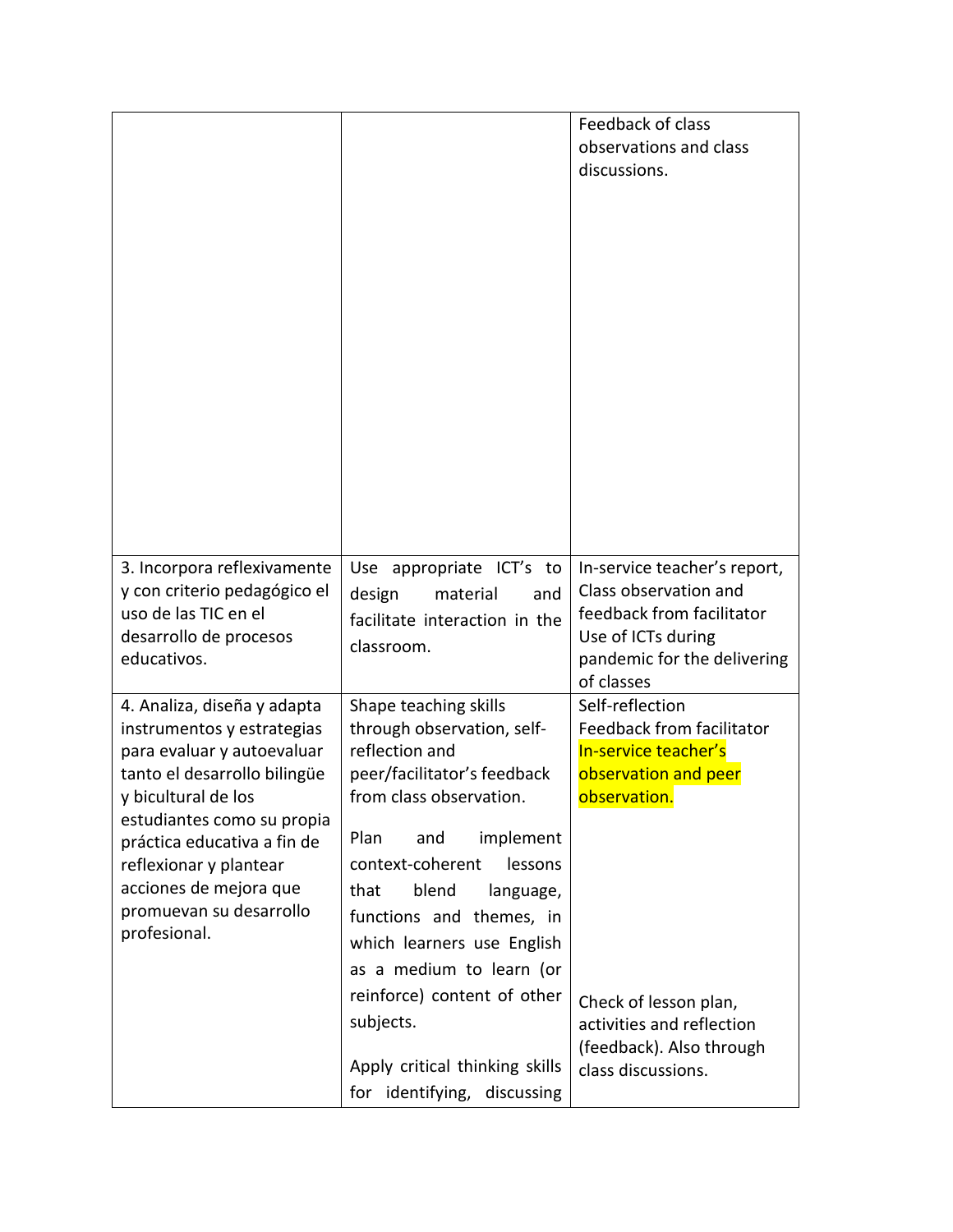|                                                                                                                                                                                                                                                                                                            |                                                                                                                                                                                                                                                                                                                | Feedback of class<br>observations and class<br>discussions.                                                                                           |
|------------------------------------------------------------------------------------------------------------------------------------------------------------------------------------------------------------------------------------------------------------------------------------------------------------|----------------------------------------------------------------------------------------------------------------------------------------------------------------------------------------------------------------------------------------------------------------------------------------------------------------|-------------------------------------------------------------------------------------------------------------------------------------------------------|
| 3. Incorpora reflexivamente<br>y con criterio pedagógico el<br>uso de las TIC en el<br>desarrollo de procesos<br>educativos.                                                                                                                                                                               | Use appropriate ICT's to<br>design<br>material<br>and<br>facilitate interaction in the<br>classroom.                                                                                                                                                                                                           | In-service teacher's report,<br>Class observation and<br>feedback from facilitator<br>Use of ICTs during<br>pandemic for the delivering<br>of classes |
| 4. Analiza, diseña y adapta<br>instrumentos y estrategias<br>para evaluar y autoevaluar<br>tanto el desarrollo bilingüe<br>y bicultural de los<br>estudiantes como su propia<br>práctica educativa a fin de<br>reflexionar y plantear<br>acciones de mejora que<br>promuevan su desarrollo<br>profesional. | Shape teaching skills<br>through observation, self-<br>reflection and<br>peer/facilitator's feedback<br>from class observation.<br>Plan<br>implement<br>and<br>context-coherent<br>lessons<br>blend<br>that<br>language,<br>functions and themes, in<br>which learners use English<br>as a medium to learn (or | Self-reflection<br>Feedback from facilitator<br>In-service teacher's<br>observation and peer<br>observation.                                          |
|                                                                                                                                                                                                                                                                                                            | reinforce) content of other<br>subjects.<br>Apply critical thinking skills<br>for identifying,<br>discussing                                                                                                                                                                                                   | Check of lesson plan,<br>activities and reflection<br>(feedback). Also through<br>class discussions.                                                  |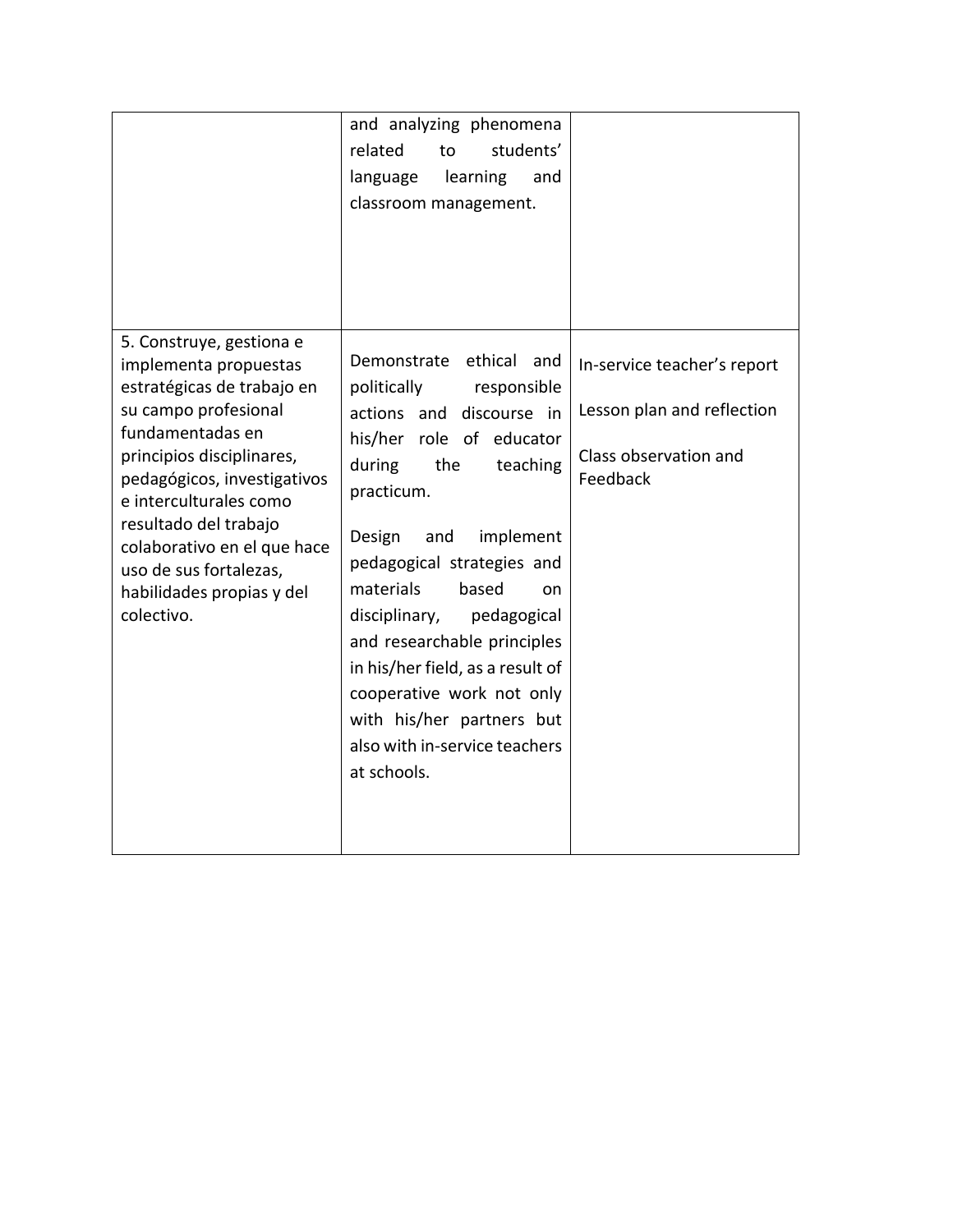|                                                                                                                                                                                                                                                                                                                                                | and analyzing phenomena<br>related<br>students'<br>to<br>language<br>learning<br>and<br>classroom management.                                                                                                                                                                                                                                                                                                                                              |                                                                                                |
|------------------------------------------------------------------------------------------------------------------------------------------------------------------------------------------------------------------------------------------------------------------------------------------------------------------------------------------------|------------------------------------------------------------------------------------------------------------------------------------------------------------------------------------------------------------------------------------------------------------------------------------------------------------------------------------------------------------------------------------------------------------------------------------------------------------|------------------------------------------------------------------------------------------------|
| 5. Construye, gestiona e<br>implementa propuestas<br>estratégicas de trabajo en<br>su campo profesional<br>fundamentadas en<br>principios disciplinares,<br>pedagógicos, investigativos<br>e interculturales como<br>resultado del trabajo<br>colaborativo en el que hace<br>uso de sus fortalezas,<br>habilidades propias y del<br>colectivo. | Demonstrate ethical and<br>politically responsible<br>actions and discourse in<br>his/her role of educator<br>during<br>the<br>teaching<br>practicum.<br>Design<br>and<br>implement<br>pedagogical strategies and<br>materials<br>based<br>on<br>disciplinary,<br>pedagogical<br>and researchable principles<br>in his/her field, as a result of<br>cooperative work not only<br>with his/her partners but<br>also with in-service teachers<br>at schools. | In-service teacher's report<br>Lesson plan and reflection<br>Class observation and<br>Feedback |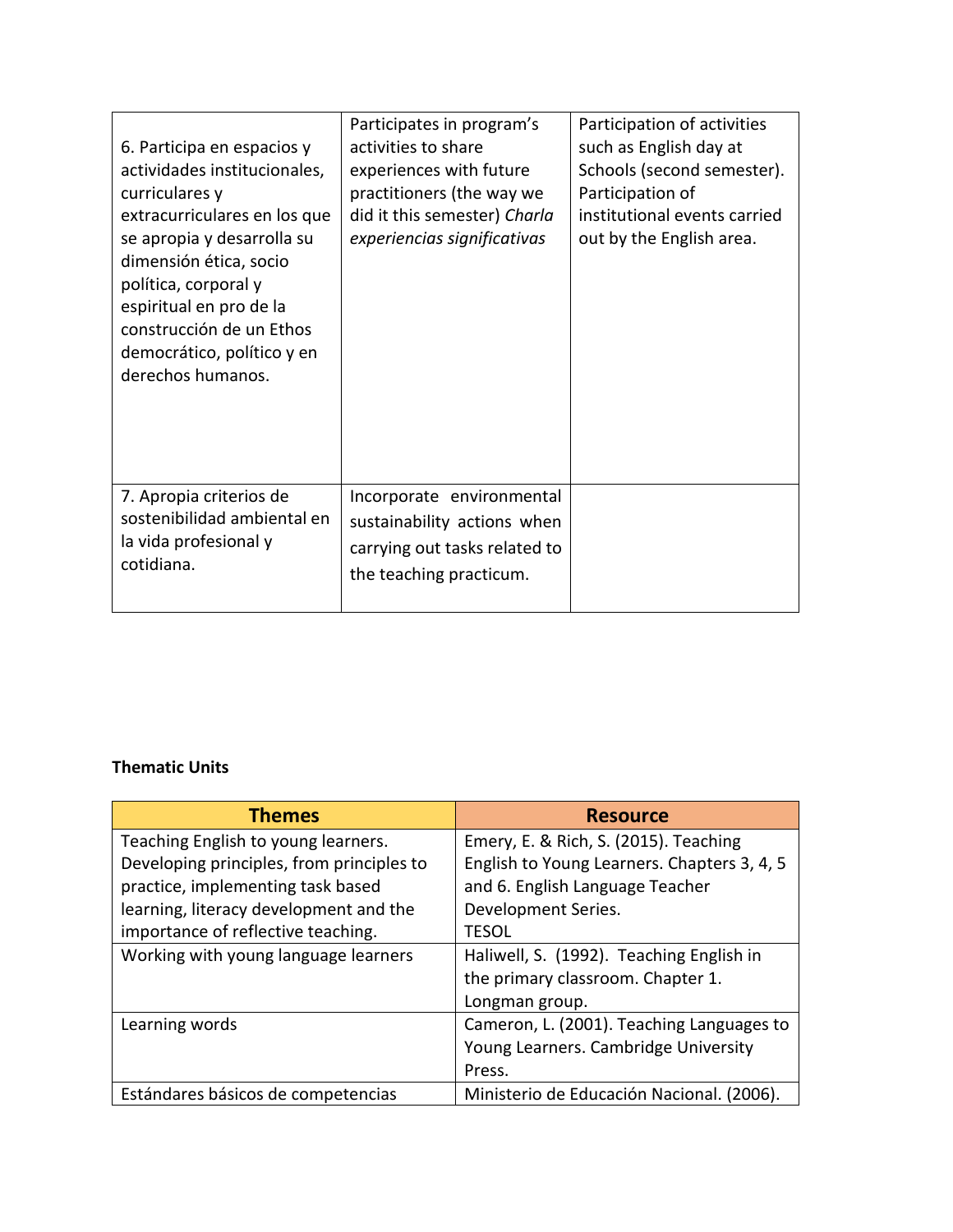| 6. Participa en espacios y<br>actividades institucionales,<br>curriculares y<br>extracurriculares en los que<br>se apropia y desarrolla su<br>dimensión ética, socio<br>política, corporal y<br>espiritual en pro de la<br>construcción de un Ethos<br>democrático, político y en<br>derechos humanos. | Participates in program's<br>activities to share<br>experiences with future<br>practitioners (the way we<br>did it this semester) Charla<br>experiencias significativas | Participation of activities<br>such as English day at<br>Schools (second semester).<br>Participation of<br>institutional events carried<br>out by the English area. |
|--------------------------------------------------------------------------------------------------------------------------------------------------------------------------------------------------------------------------------------------------------------------------------------------------------|-------------------------------------------------------------------------------------------------------------------------------------------------------------------------|---------------------------------------------------------------------------------------------------------------------------------------------------------------------|
| 7. Apropia criterios de<br>sostenibilidad ambiental en<br>la vida profesional y<br>cotidiana.                                                                                                                                                                                                          | Incorporate environmental<br>sustainability actions when<br>carrying out tasks related to<br>the teaching practicum.                                                    |                                                                                                                                                                     |

## **Thematic Units**

| <b>Themes</b>                             | <b>Resource</b>                             |
|-------------------------------------------|---------------------------------------------|
| Teaching English to young learners.       | Emery, E. & Rich, S. (2015). Teaching       |
| Developing principles, from principles to | English to Young Learners. Chapters 3, 4, 5 |
| practice, implementing task based         | and 6. English Language Teacher             |
| learning, literacy development and the    | Development Series.                         |
| importance of reflective teaching.        | <b>TESOL</b>                                |
| Working with young language learners      | Haliwell, S. (1992). Teaching English in    |
|                                           | the primary classroom. Chapter 1.           |
|                                           | Longman group.                              |
| Learning words                            | Cameron, L. (2001). Teaching Languages to   |
|                                           | Young Learners. Cambridge University        |
|                                           | Press.                                      |
| Estándares básicos de competencias        | Ministerio de Educación Nacional. (2006).   |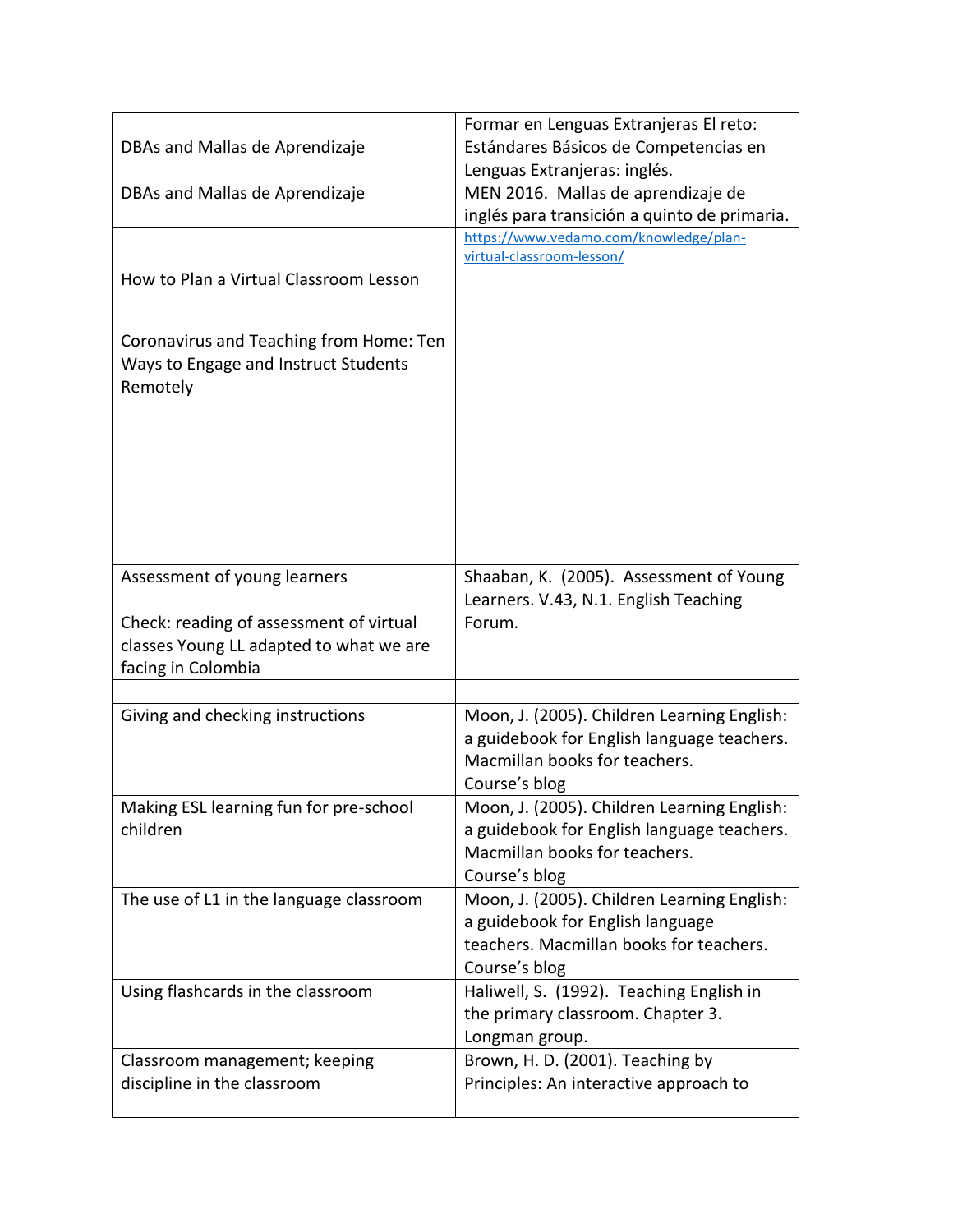| DBAs and Mallas de Aprendizaje<br>DBAs and Mallas de Aprendizaje<br>How to Plan a Virtual Classroom Lesson<br>Coronavirus and Teaching from Home: Ten<br>Ways to Engage and Instruct Students<br>Remotely | Formar en Lenguas Extranjeras El reto:<br>Estándares Básicos de Competencias en<br>Lenguas Extranjeras: inglés.<br>MEN 2016. Mallas de aprendizaje de<br>inglés para transición a quinto de primaria.<br>https://www.vedamo.com/knowledge/plan-<br>virtual-classroom-lesson/ |
|-----------------------------------------------------------------------------------------------------------------------------------------------------------------------------------------------------------|------------------------------------------------------------------------------------------------------------------------------------------------------------------------------------------------------------------------------------------------------------------------------|
| Assessment of young learners<br>Check: reading of assessment of virtual<br>classes Young LL adapted to what we are<br>facing in Colombia                                                                  | Shaaban, K. (2005). Assessment of Young<br>Learners. V.43, N.1. English Teaching<br>Forum.                                                                                                                                                                                   |
|                                                                                                                                                                                                           |                                                                                                                                                                                                                                                                              |
| Giving and checking instructions                                                                                                                                                                          | Moon, J. (2005). Children Learning English:<br>a guidebook for English language teachers.<br>Macmillan books for teachers.<br>Course's blog                                                                                                                                  |
| Making ESL learning fun for pre-school<br>children                                                                                                                                                        | Moon, J. (2005). Children Learning English:<br>a guidebook for English language teachers.<br>Macmillan books for teachers.<br>Course's blog                                                                                                                                  |
| The use of L1 in the language classroom                                                                                                                                                                   | Moon, J. (2005). Children Learning English:<br>a guidebook for English language<br>teachers. Macmillan books for teachers.<br>Course's blog                                                                                                                                  |
| Using flashcards in the classroom                                                                                                                                                                         | Haliwell, S. (1992). Teaching English in<br>the primary classroom. Chapter 3.<br>Longman group.                                                                                                                                                                              |
| Classroom management; keeping<br>discipline in the classroom                                                                                                                                              | Brown, H. D. (2001). Teaching by<br>Principles: An interactive approach to                                                                                                                                                                                                   |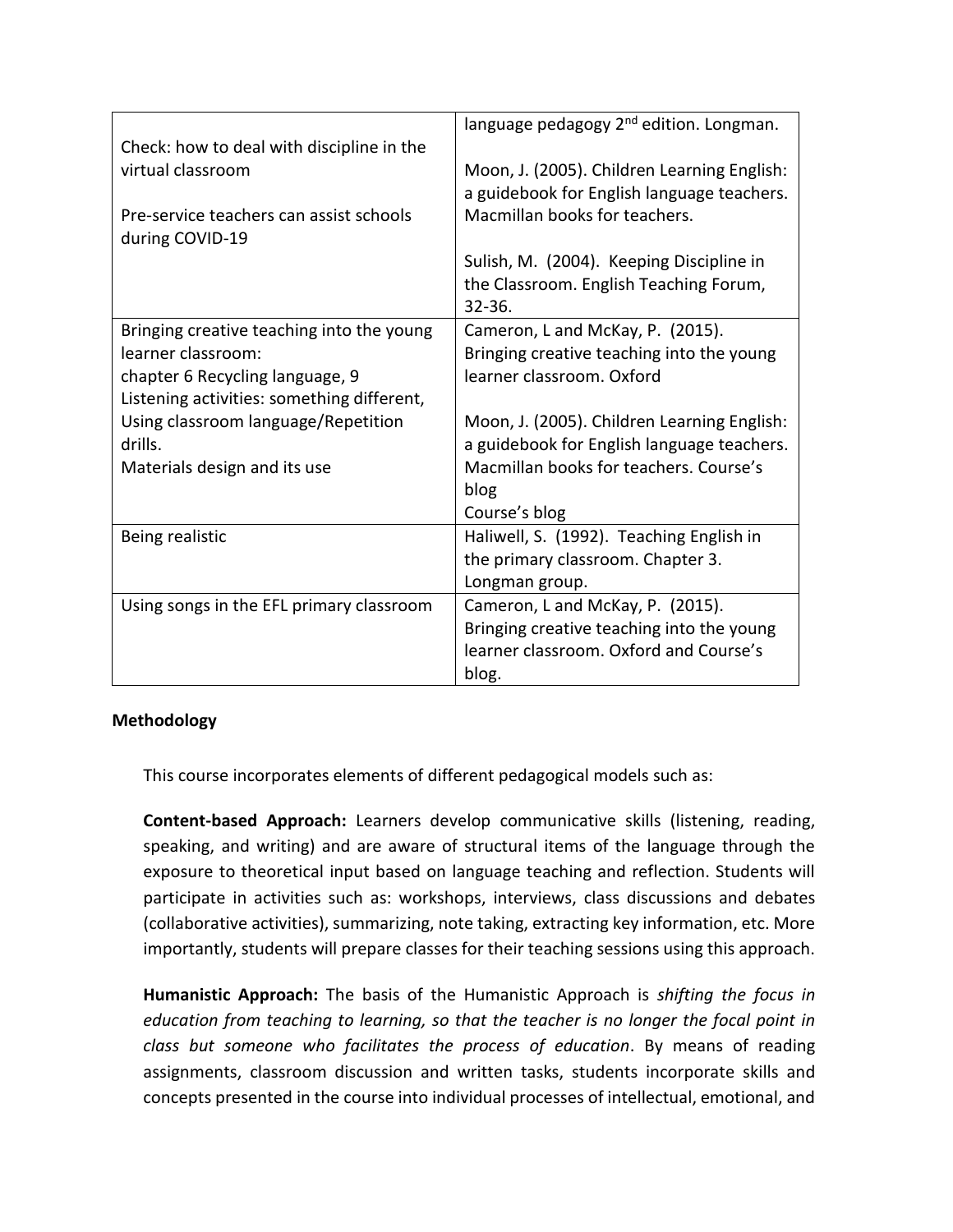|                                            | language pedagogy 2 <sup>nd</sup> edition. Longman. |
|--------------------------------------------|-----------------------------------------------------|
| Check: how to deal with discipline in the  |                                                     |
| virtual classroom                          | Moon, J. (2005). Children Learning English:         |
|                                            | a guidebook for English language teachers.          |
| Pre-service teachers can assist schools    | Macmillan books for teachers.                       |
| during COVID-19                            |                                                     |
|                                            | Sulish, M. (2004). Keeping Discipline in            |
|                                            | the Classroom. English Teaching Forum,              |
|                                            | $32 - 36.$                                          |
| Bringing creative teaching into the young  | Cameron, L and McKay, P. (2015).                    |
| learner classroom:                         | Bringing creative teaching into the young           |
| chapter 6 Recycling language, 9            | learner classroom. Oxford                           |
| Listening activities: something different, |                                                     |
| Using classroom language/Repetition        | Moon, J. (2005). Children Learning English:         |
| drills.                                    | a guidebook for English language teachers.          |
| Materials design and its use               | Macmillan books for teachers. Course's              |
|                                            | blog                                                |
|                                            | Course's blog                                       |
| Being realistic                            | Haliwell, S. (1992). Teaching English in            |
|                                            | the primary classroom. Chapter 3.                   |
|                                            | Longman group.                                      |
| Using songs in the EFL primary classroom   | Cameron, L and McKay, P. (2015).                    |
|                                            | Bringing creative teaching into the young           |
|                                            | learner classroom. Oxford and Course's              |
|                                            | blog.                                               |

## **Methodology**

This course incorporates elements of different pedagogical models such as:

**Content-based Approach:** Learners develop communicative skills (listening, reading, speaking, and writing) and are aware of structural items of the language through the exposure to theoretical input based on language teaching and reflection. Students will participate in activities such as: workshops, interviews, class discussions and debates (collaborative activities), summarizing, note taking, extracting key information, etc. More importantly, students will prepare classes for their teaching sessions using this approach.

**Humanistic Approach:** The basis of the Humanistic Approach is *shifting the focus in education from teaching to learning, so that the teacher is no longer the focal point in class but someone who facilitates the process of education*. By means of reading assignments, classroom discussion and written tasks, students incorporate skills and concepts presented in the course into individual processes of intellectual, emotional, and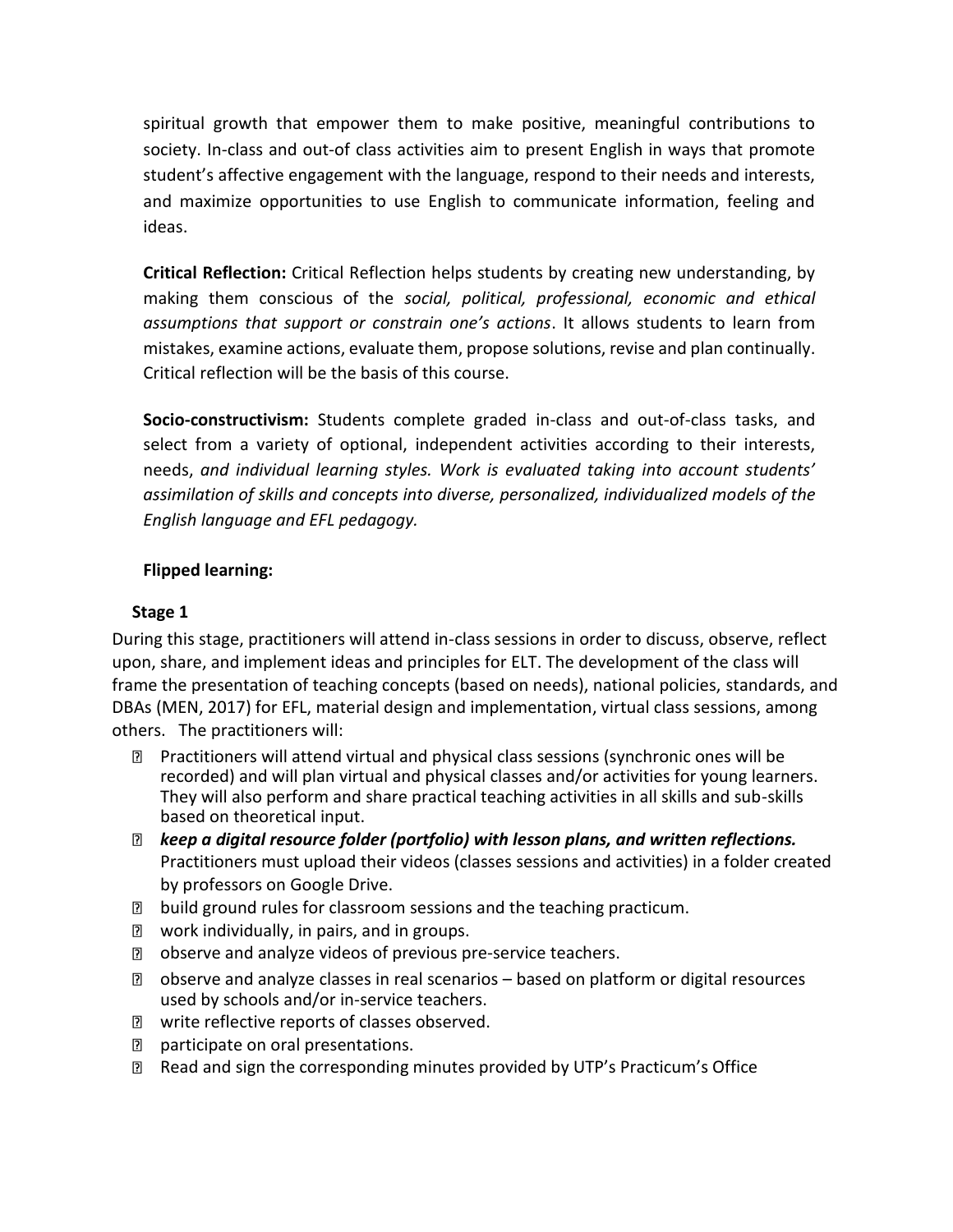spiritual growth that empower them to make positive, meaningful contributions to society. In-class and out-of class activities aim to present English in ways that promote student's affective engagement with the language, respond to their needs and interests, and maximize opportunities to use English to communicate information, feeling and ideas.

**Critical Reflection:** Critical Reflection helps students by creating new understanding, by making them conscious of the *social, political, professional, economic and ethical assumptions that support or constrain one's actions*. It allows students to learn from mistakes, examine actions, evaluate them, propose solutions, revise and plan continually. Critical reflection will be the basis of this course.

**Socio-constructivism:** Students complete graded in-class and out-of-class tasks, and select from a variety of optional, independent activities according to their interests, needs, *and individual learning styles. Work is evaluated taking into account students' assimilation of skills and concepts into diverse, personalized, individualized models of the English language and EFL pedagogy.*

## **Flipped learning:**

## **Stage 1**

During this stage, practitioners will attend in-class sessions in order to discuss, observe, reflect upon, share, and implement ideas and principles for ELT. The development of the class will frame the presentation of teaching concepts (based on needs), national policies, standards, and DBAs (MEN, 2017) for EFL, material design and implementation, virtual class sessions, among others. The practitioners will:

- Practitioners will attend virtual and physical class sessions (synchronic ones will be recorded) and will plan virtual and physical classes and/or activities for young learners. They will also perform and share practical teaching activities in all skills and sub-skills based on theoretical input.
- *keep a digital resource folder (portfolio) with lesson plans, and written reflections.* Practitioners must upload their videos (classes sessions and activities) in a folder created by professors on Google Drive.
- **D** build ground rules for classroom sessions and the teaching practicum.
- **2** work individually, in pairs, and in groups.
- **n** observe and analyze videos of previous pre-service teachers.
- observe and analyze classes in real scenarios based on platform or digital resources used by schools and/or in-service teachers.
- **Z** write reflective reports of classes observed.
- **P** participate on oral presentations.
- Read and sign the corresponding minutes provided by UTP's Practicum's Office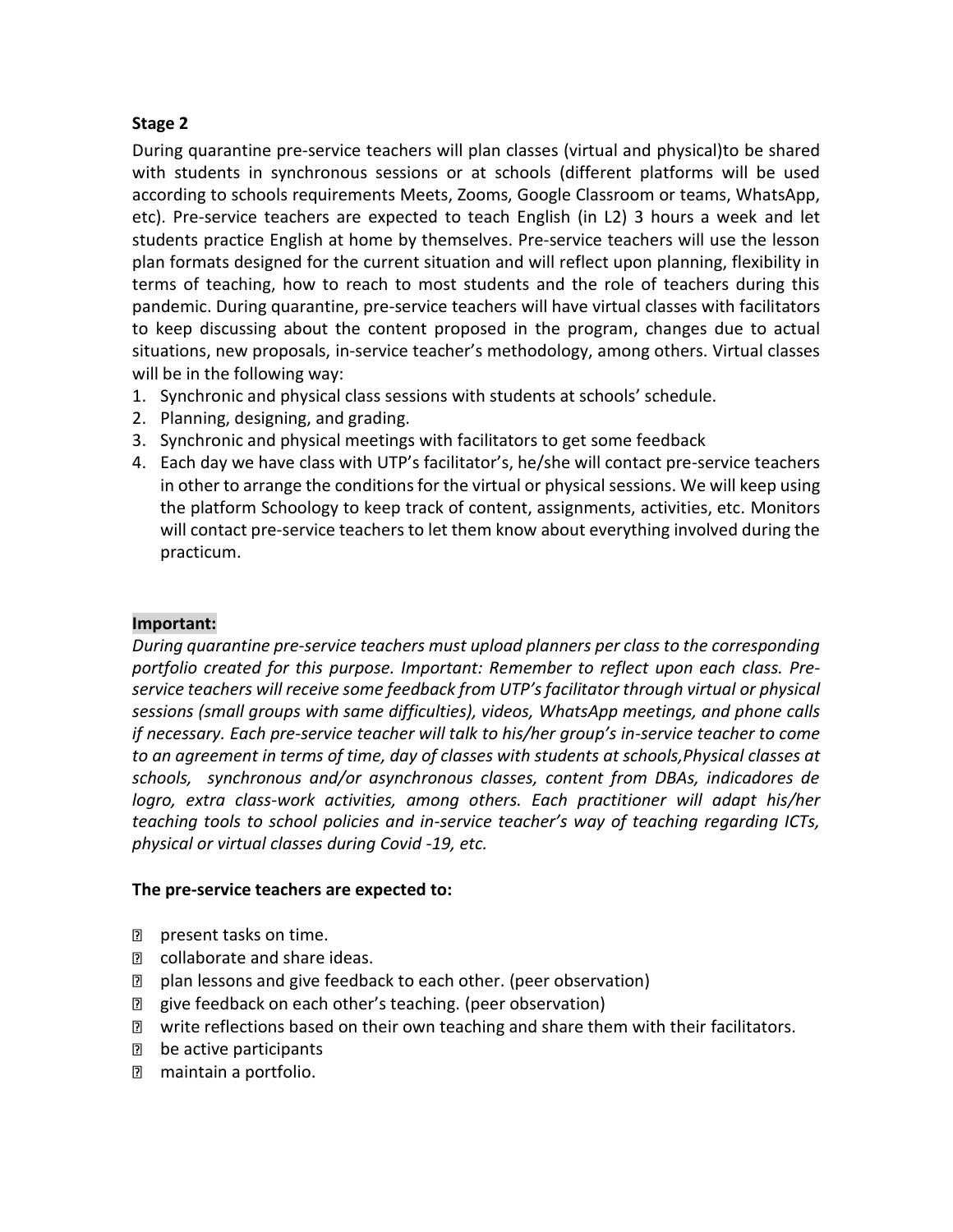## **Stage 2**

During quarantine pre-service teachers will plan classes (virtual and physical)to be shared with students in synchronous sessions or at schools (different platforms will be used according to schools requirements Meets, Zooms, Google Classroom or teams, WhatsApp, etc). Pre-service teachers are expected to teach English (in L2) 3 hours a week and let students practice English at home by themselves. Pre-service teachers will use the lesson plan formats designed for the current situation and will reflect upon planning, flexibility in terms of teaching, how to reach to most students and the role of teachers during this pandemic. During quarantine, pre-service teachers will have virtual classes with facilitators to keep discussing about the content proposed in the program, changes due to actual situations, new proposals, in-service teacher's methodology, among others. Virtual classes will be in the following way:

- 1. Synchronic and physical class sessions with students at schools' schedule.
- 2. Planning, designing, and grading.
- 3. Synchronic and physical meetings with facilitators to get some feedback
- 4. Each day we have class with UTP's facilitator's, he/she will contact pre-service teachers in other to arrange the conditions for the virtual or physical sessions. We will keep using the platform Schoology to keep track of content, assignments, activities, etc. Monitors will contact pre-service teachers to let them know about everything involved during the practicum.

## **Important:**

*During quarantine pre-service teachers must upload planners per class to the corresponding portfolio created for this purpose. Important: Remember to reflect upon each class. Preservice teachers will receive some feedback from UTP's facilitator through virtual or physical sessions (small groups with same difficulties), videos, WhatsApp meetings, and phone calls if necessary. Each pre-service teacher will talk to his/her group's in-service teacher to come to an agreement in terms of time, day of classes with students at schools,Physical classes at schools, synchronous and/or asynchronous classes, content from DBAs, indicadores de logro, extra class-work activities, among others. Each practitioner will adapt his/her teaching tools to school policies and in-service teacher's way of teaching regarding ICTs, physical or virtual classes during Covid -19, etc.*

## **The pre-service teachers are expected to:**

- **P** present tasks on time.
- **n** collaborate and share ideas.
- **n** plan lessons and give feedback to each other. (peer observation)
- give feedback on each other's teaching. (peer observation)
- **Z** write reflections based on their own teaching and share them with their facilitators.
- D be active participants
- **n** maintain a portfolio.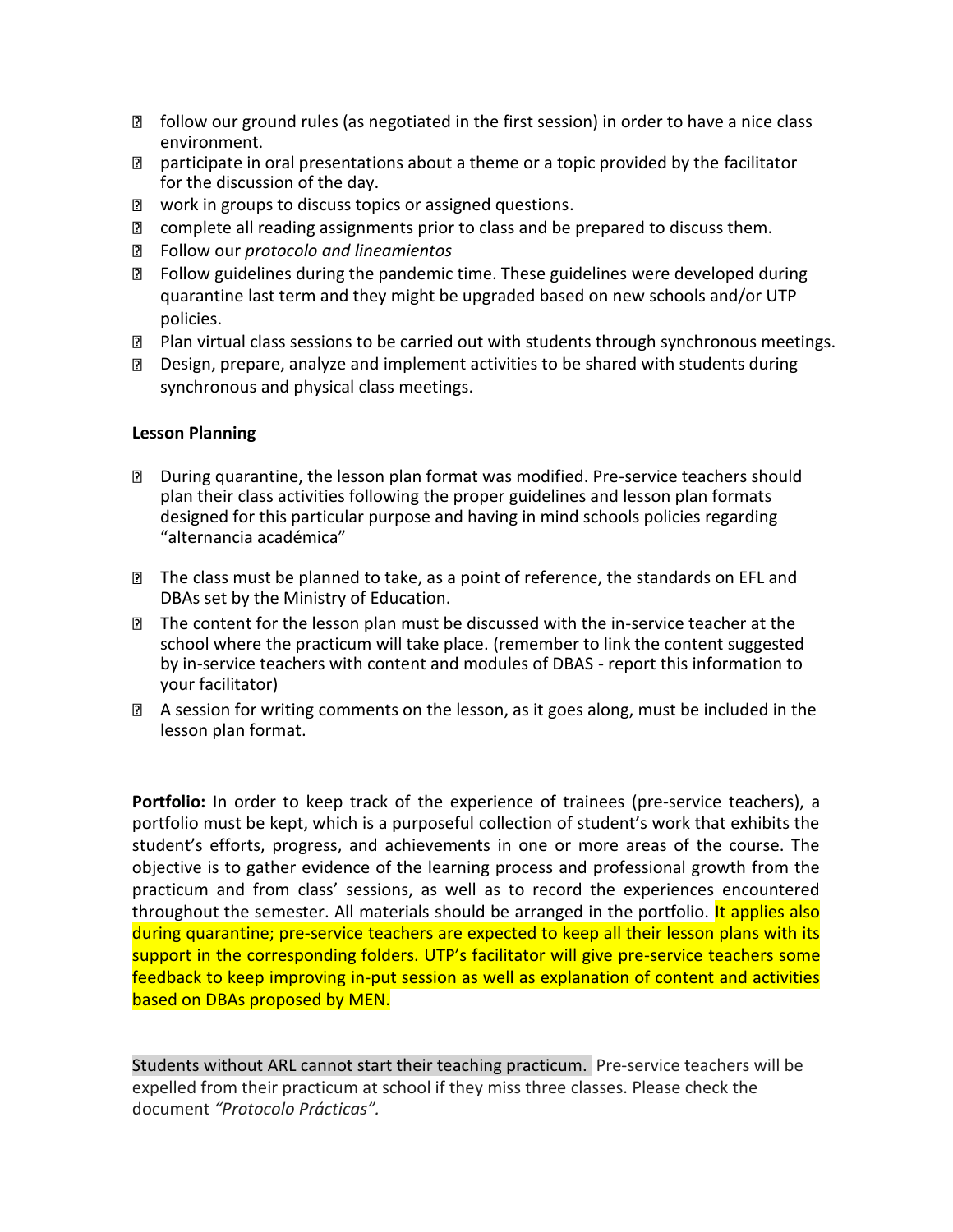- $\mathbb D$  follow our ground rules (as negotiated in the first session) in order to have a nice class environment.
- $\mathbb D$  participate in oral presentations about a theme or a topic provided by the facilitator for the discussion of the day.
- **2** work in groups to discuss topics or assigned questions.
- **Z** complete all reading assignments prior to class and be prepared to discuss them.
- Follow our *protocolo and lineamientos*
- Follow guidelines during the pandemic time. These guidelines were developed during quarantine last term and they might be upgraded based on new schools and/or UTP policies.
- **Plan virtual class sessions to be carried out with students through synchronous meetings.**
- $\Box$  Design, prepare, analyze and implement activities to be shared with students during synchronous and physical class meetings.

## **Lesson Planning**

- During quarantine, the lesson plan format was modified. Pre-service teachers should plan their class activities following the proper guidelines and lesson plan formats designed for this particular purpose and having in mind schools policies regarding "alternancia académica"
- The class must be planned to take, as a point of reference, the standards on EFL and DBAs set by the Ministry of Education.
- The content for the lesson plan must be discussed with the in-service teacher at the school where the practicum will take place. (remember to link the content suggested by in-service teachers with content and modules of DBAS - report this information to your facilitator)
- **E** A session for writing comments on the lesson, as it goes along, must be included in the lesson plan format.

**Portfolio:** In order to keep track of the experience of trainees (pre-service teachers), a portfolio must be kept, which is a purposeful collection of student's work that exhibits the student's efforts, progress, and achievements in one or more areas of the course. The objective is to gather evidence of the learning process and professional growth from the practicum and from class' sessions, as well as to record the experiences encountered throughout the semester. All materials should be arranged in the portfolio. It applies also during quarantine; pre-service teachers are expected to keep all their lesson plans with its support in the corresponding folders. UTP's facilitator will give pre-service teachers some feedback to keep improving in-put session as well as explanation of content and activities based on DBAs proposed by MEN.

Students without ARL cannot start their teaching practicum. Pre-service teachers will be expelled from their practicum at school if they miss three classes. Please check the document *"Protocolo Prácticas".*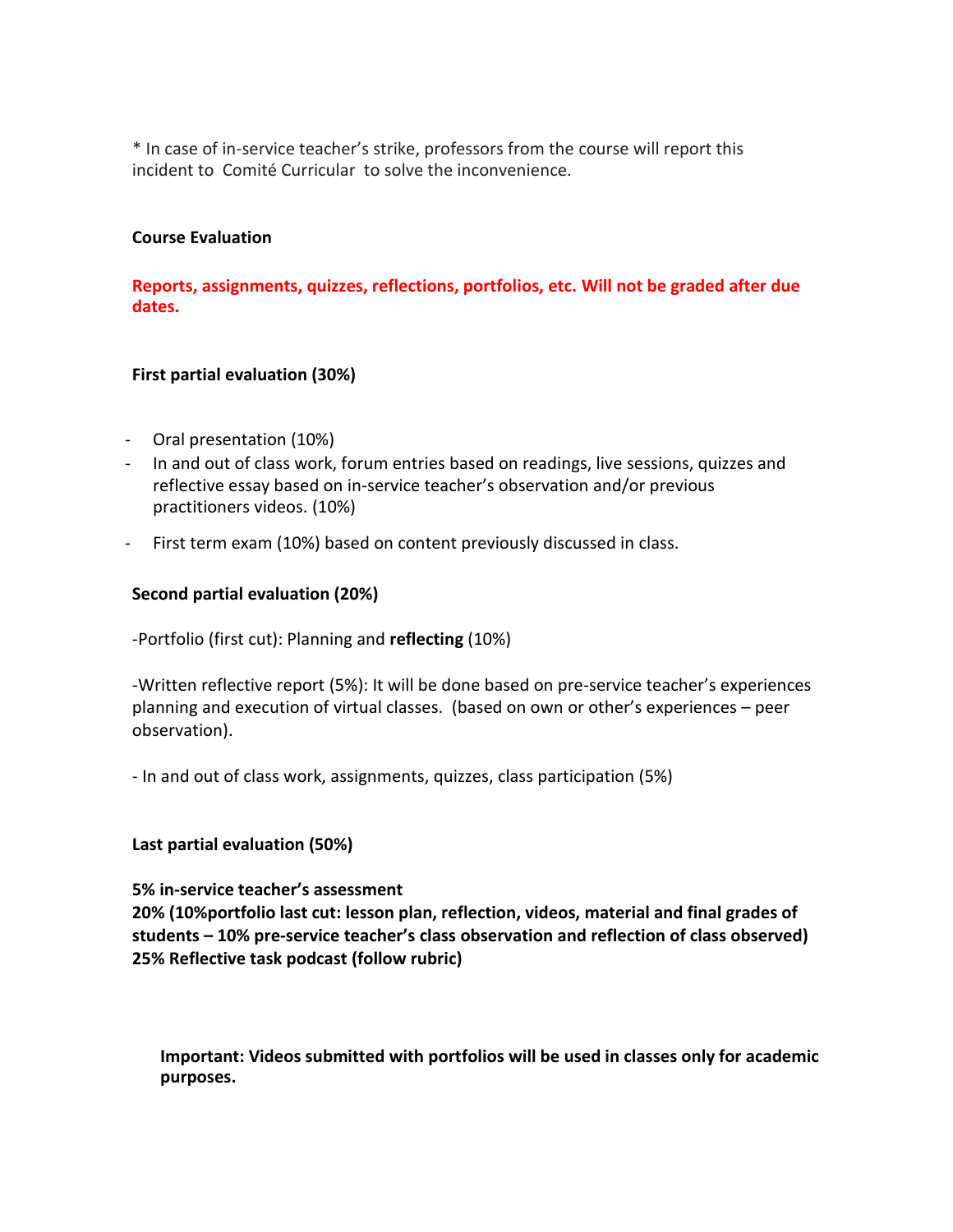\* In case of in-service teacher's strike, professors from the course will report this incident to Comité Curricular to solve the inconvenience.

### **Course Evaluation**

**Reports, assignments, quizzes, reflections, portfolios, etc. Will not be graded after due dates.**

### **First partial evaluation (30%)**

- Oral presentation (10%)
- In and out of class work, forum entries based on readings, live sessions, quizzes and reflective essay based on in-service teacher's observation and/or previous practitioners videos. (10%)
- First term exam (10%) based on content previously discussed in class.

## **Second partial evaluation (20%)**

-Portfolio (first cut): Planning and **reflecting** (10%)

-Written reflective report (5%): It will be done based on pre-service teacher's experiences planning and execution of virtual classes. (based on own or other's experiences – peer observation).

- In and out of class work, assignments, quizzes, class participation (5%)

### **Last partial evaluation (50%)**

### **5% in-service teacher's assessment**

**20% (10%portfolio last cut: lesson plan, reflection, videos, material and final grades of students – 10% pre-service teacher's class observation and reflection of class observed) 25% Reflective task podcast (follow rubric)** 

**Important: Videos submitted with portfolios will be used in classes only for academic purposes.**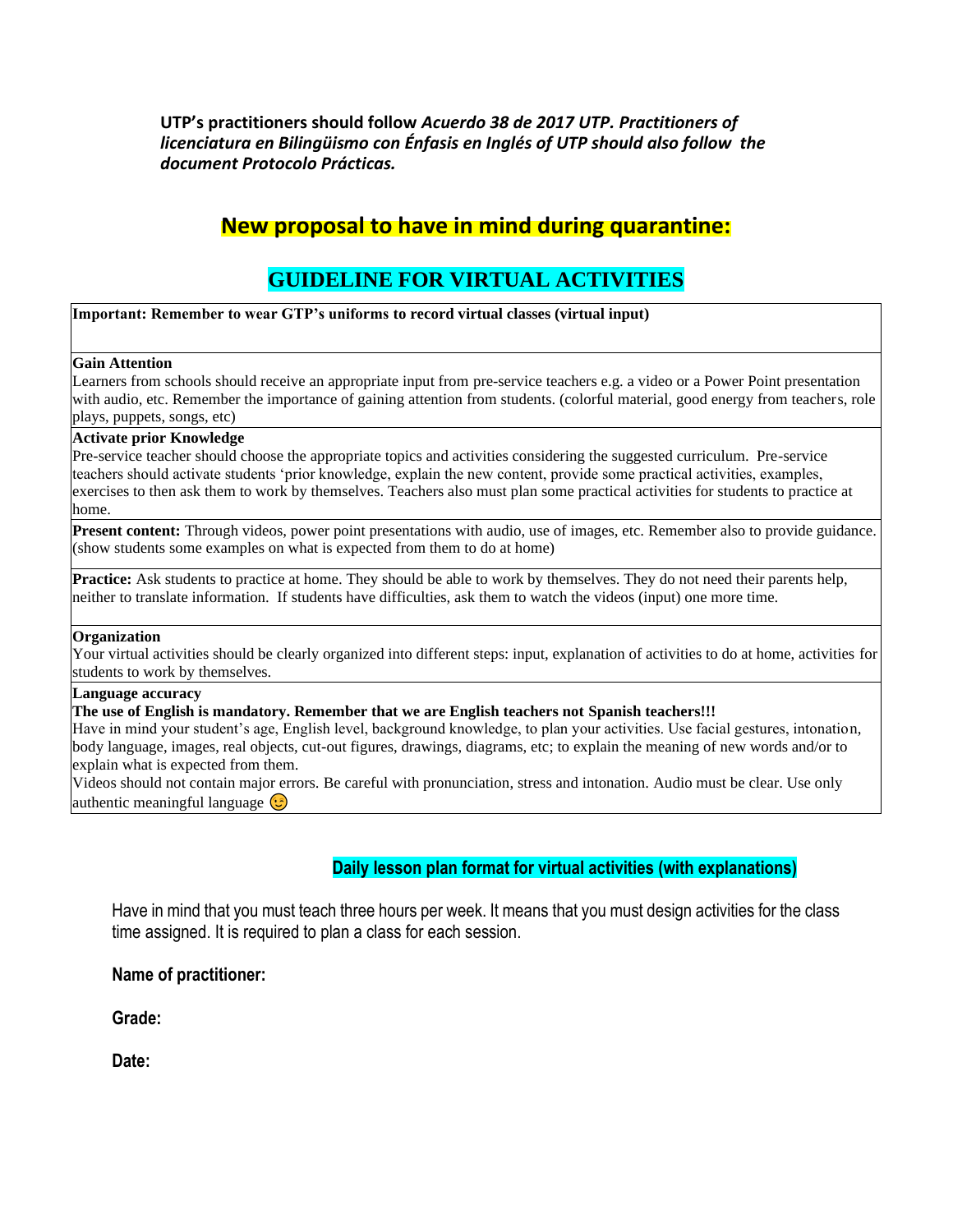**UTP's practitioners should follow** *Acuerdo 38 de 2017 UTP. Practitioners of licenciatura en Bilingüismo con Énfasis en Inglés of UTP should also follow the document Protocolo Prácticas.* 

# **New proposal to have in mind during quarantine:**

# **GUIDELINE FOR VIRTUAL ACTIVITIES**

**Important: Remember to wear GTP's uniforms to record virtual classes (virtual input)**

#### **Gain Attention**

Learners from schools should receive an appropriate input from pre-service teachers e.g. a video or a Power Point presentation with audio, etc. Remember the importance of gaining attention from students. (colorful material, good energy from teachers, role plays, puppets, songs, etc)

#### **Activate prior Knowledge**

Pre-service teacher should choose the appropriate topics and activities considering the suggested curriculum. Pre-service teachers should activate students 'prior knowledge, explain the new content, provide some practical activities, examples, exercises to then ask them to work by themselves. Teachers also must plan some practical activities for students to practice at home.

**Present content:** Through videos, power point presentations with audio, use of images, etc. Remember also to provide guidance. (show students some examples on what is expected from them to do at home)

**Practice:** Ask students to practice at home. They should be able to work by themselves. They do not need their parents help, neither to translate information. If students have difficulties, ask them to watch the videos (input) one more time.

#### **Organization**

Your virtual activities should be clearly organized into different steps: input, explanation of activities to do at home, activities for students to work by themselves.

#### **Language accuracy**

#### **The use of English is mandatory. Remember that we are English teachers not Spanish teachers!!!**

Have in mind your student's age, English level, background knowledge, to plan your activities. Use facial gestures, intonation, body language, images, real objects, cut-out figures, drawings, diagrams, etc; to explain the meaning of new words and/or to explain what is expected from them.

Videos should not contain major errors. Be careful with pronunciation, stress and intonation. Audio must be clear. Use only authentic meaningful language  $\odot$ 

## **Daily lesson plan format for virtual activities (with explanations)**

Have in mind that you must teach three hours per week. It means that you must design activities for the class time assigned. It is required to plan a class for each session.

### **Name of practitioner:**

**Grade:**

**Date:**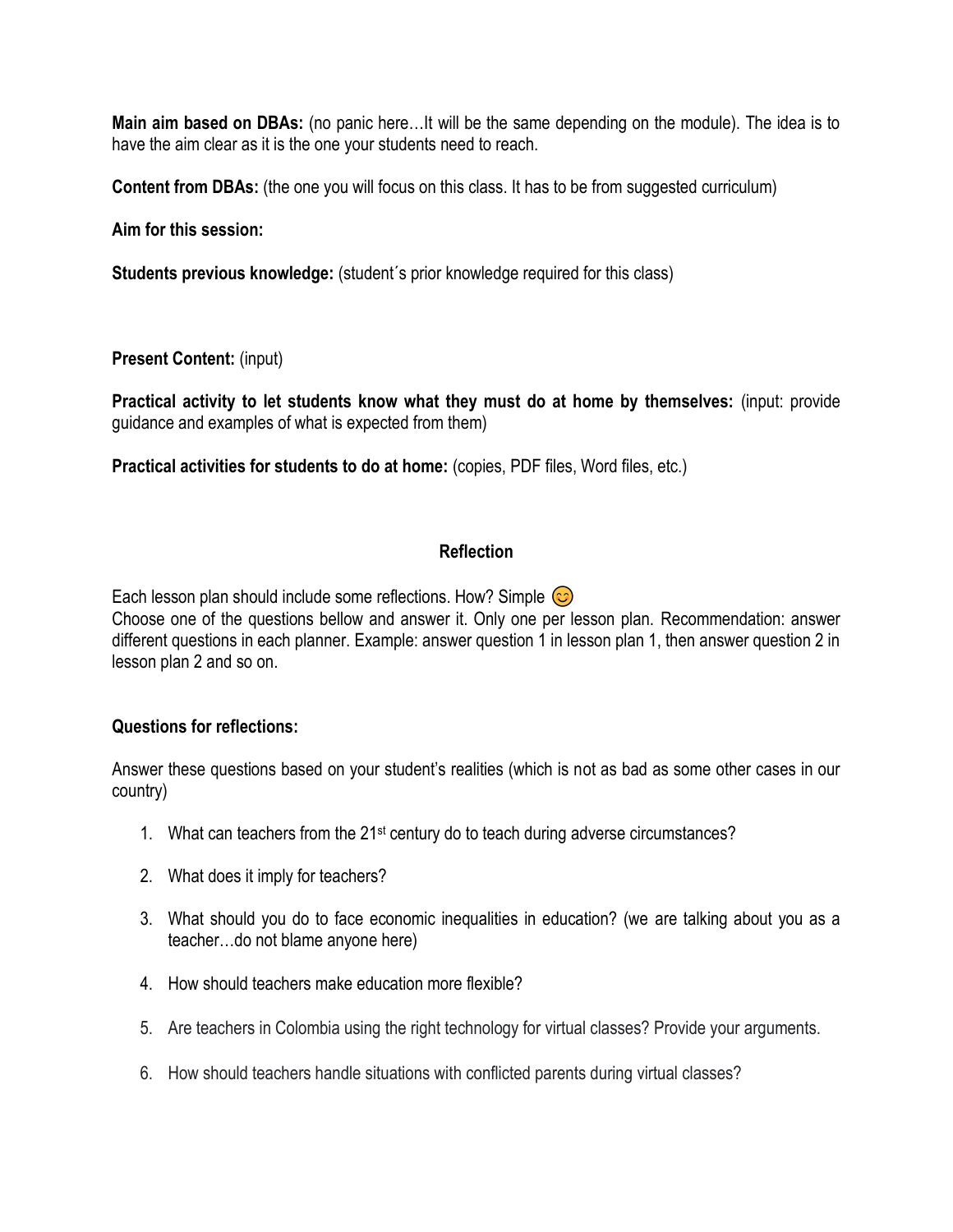**Main aim based on DBAs:** (no panic here…It will be the same depending on the module). The idea is to have the aim clear as it is the one your students need to reach.

**Content from DBAs:** (the one you will focus on this class. It has to be from suggested curriculum)

**Aim for this session:** 

**Students previous knowledge:** (student´s prior knowledge required for this class)

**Present Content:** (input)

**Practical activity to let students know what they must do at home by themselves:** (input: provide guidance and examples of what is expected from them)

**Practical activities for students to do at home:** (copies, PDF files, Word files, etc.)

## **Reflection**

Each lesson plan should include some reflections. How? Simple  $\circled{c}$ Choose one of the questions bellow and answer it. Only one per lesson plan. Recommendation: answer different questions in each planner. Example: answer question 1 in lesson plan 1, then answer question 2 in lesson plan 2 and so on.

## **Questions for reflections:**

Answer these questions based on your student's realities (which is not as bad as some other cases in our country)

- 1. What can teachers from the 21st century do to teach during adverse circumstances?
- 2. What does it imply for teachers?
- 3. What should you do to face economic inequalities in education? (we are talking about you as a teacher…do not blame anyone here)
- 4. How should teachers make education more flexible?
- 5. Are teachers in Colombia using the right technology for virtual classes? Provide your arguments.
- 6. How should teachers handle situations with conflicted parents during virtual classes?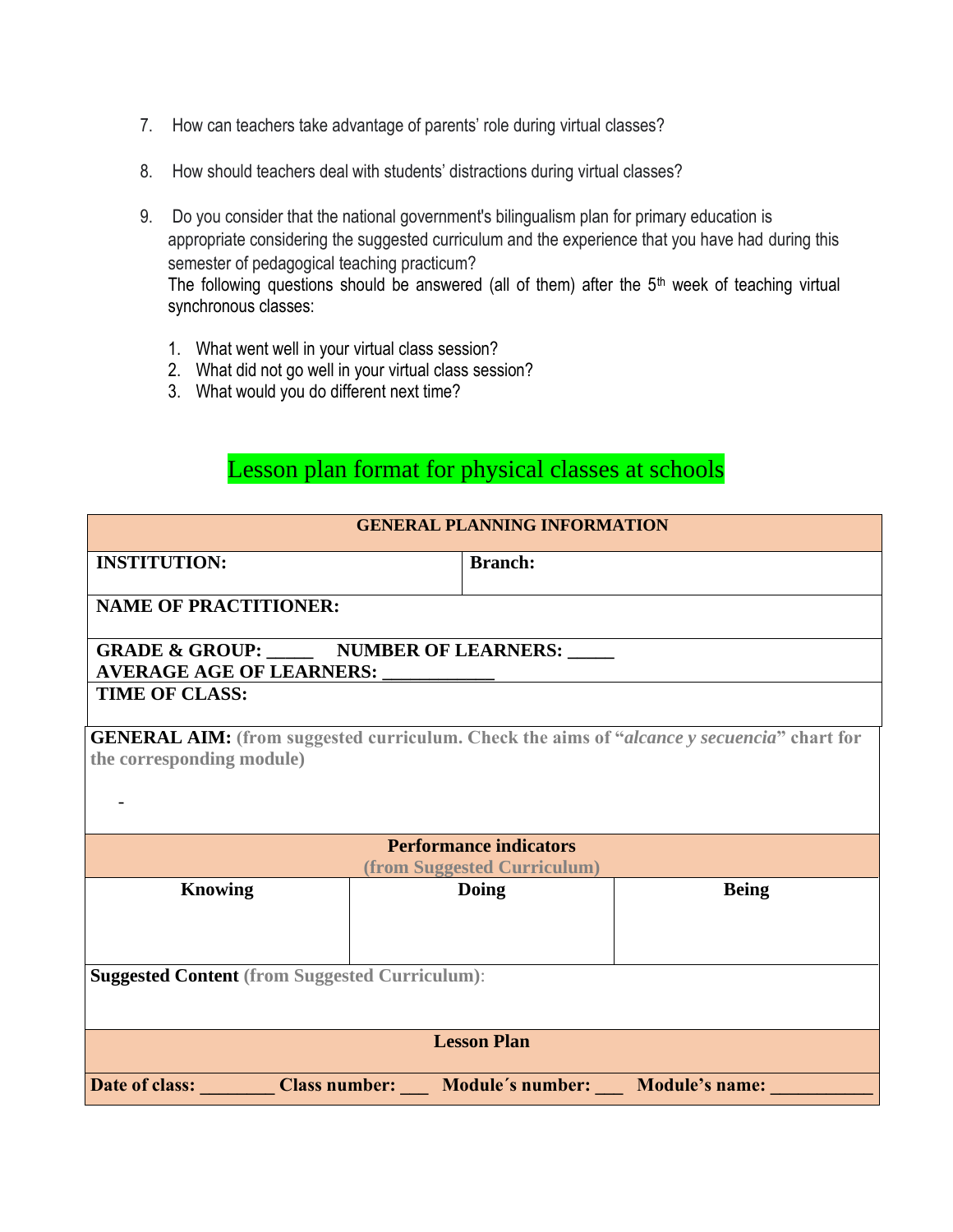- 7. How can teachers take advantage of parents' role during virtual classes?
- 8. How should teachers deal with students' distractions during virtual classes?
- 9. Do you consider that the national government's bilingualism plan for primary education is appropriate considering the suggested curriculum and the experience that you have had during this semester of pedagogical teaching practicum?

The following questions should be answered (all of them) after the 5<sup>th</sup> week of teaching virtual synchronous classes:

- 1. What went well in your virtual class session?
- 2. What did not go well in your virtual class session?
- 3. What would you do different next time?

Lesson plan format for physical classes at schools

| <b>GENERAL PLANNING INFORMATION</b>                                                                                            |                                                              |              |  |
|--------------------------------------------------------------------------------------------------------------------------------|--------------------------------------------------------------|--------------|--|
| <b>INSTITUTION:</b>                                                                                                            | <b>Branch:</b>                                               |              |  |
| <b>NAME OF PRACTITIONER:</b>                                                                                                   |                                                              |              |  |
| <b>GRADE &amp; GROUP: _______ NUMBER OF LEARNERS: _____</b><br><b>AVERAGE AGE OF LEARNERS:</b>                                 |                                                              |              |  |
| <b>TIME OF CLASS:</b>                                                                                                          |                                                              |              |  |
| <b>GENERAL AIM:</b> (from suggested curriculum. Check the aims of "alcance y secuencia" chart for<br>the corresponding module) |                                                              |              |  |
|                                                                                                                                | <b>Performance indicators</b><br>(from Suggested Curriculum) |              |  |
| <b>Knowing</b>                                                                                                                 | Doing                                                        | <b>Being</b> |  |
| <b>Suggested Content (from Suggested Curriculum):</b>                                                                          |                                                              |              |  |
| <b>Lesson Plan</b>                                                                                                             |                                                              |              |  |
| Date of class:                                                                                                                 | Class number: Module's number: Module's name:                |              |  |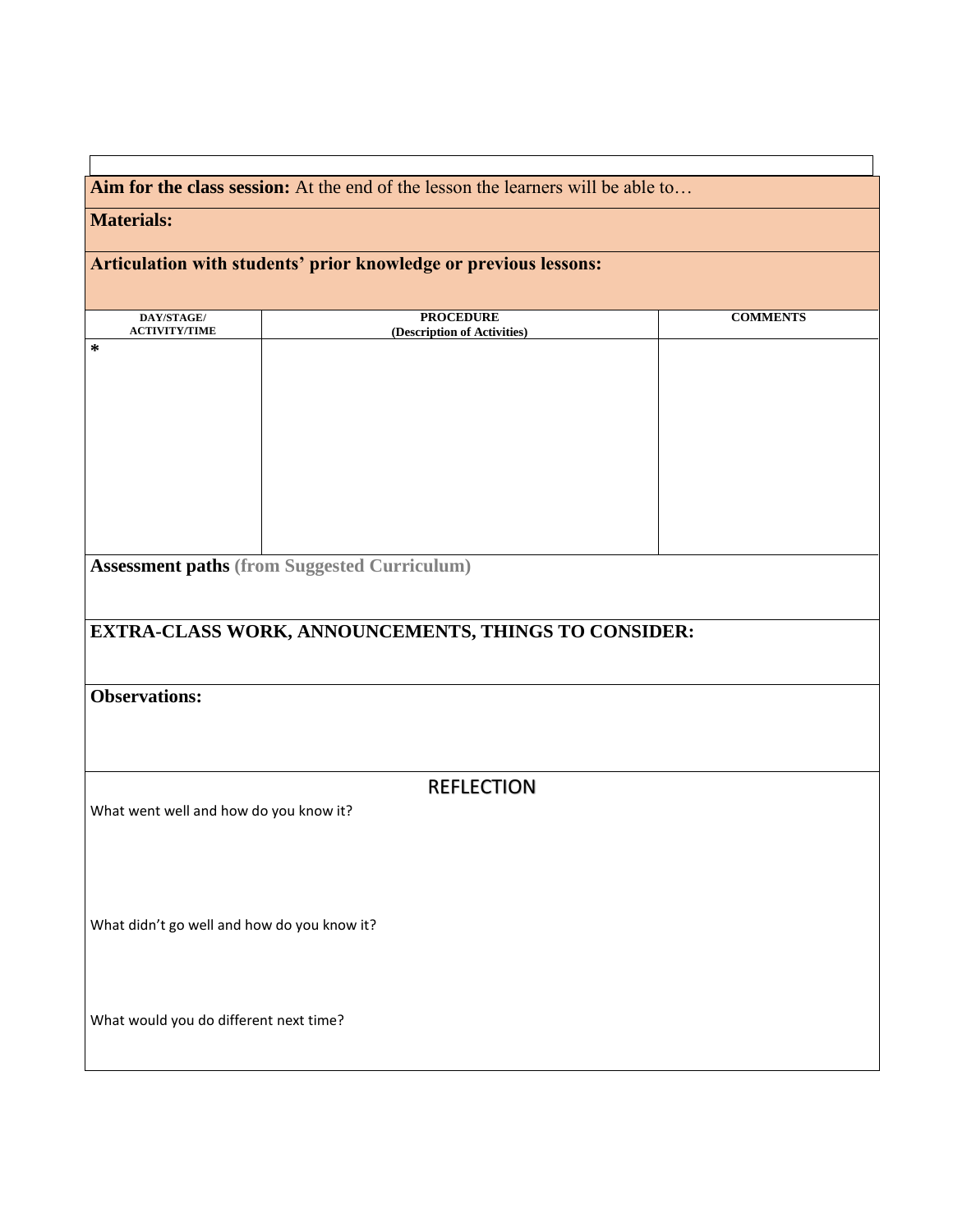**Aim for the class session:** At the end of the lesson the learners will be able to…

# **Materials:**

# **Articulation with students' prior knowledge or previous lessons:**

| DAY/STAGE/                                  | <b>PROCEDURE</b>                                     | <b>COMMENTS</b> |
|---------------------------------------------|------------------------------------------------------|-----------------|
| <b>ACTIVITY/TIME</b><br>$\ast$              | (Description of Activities)                          |                 |
|                                             |                                                      |                 |
|                                             |                                                      |                 |
|                                             |                                                      |                 |
|                                             |                                                      |                 |
|                                             |                                                      |                 |
|                                             |                                                      |                 |
|                                             |                                                      |                 |
|                                             |                                                      |                 |
|                                             |                                                      |                 |
|                                             |                                                      |                 |
|                                             | <b>Assessment paths (from Suggested Curriculum)</b>  |                 |
|                                             |                                                      |                 |
|                                             |                                                      |                 |
|                                             | EXTRA-CLASS WORK, ANNOUNCEMENTS, THINGS TO CONSIDER: |                 |
|                                             |                                                      |                 |
|                                             |                                                      |                 |
| <b>Observations:</b>                        |                                                      |                 |
|                                             |                                                      |                 |
|                                             |                                                      |                 |
|                                             |                                                      |                 |
|                                             | <b>REFLECTION</b>                                    |                 |
|                                             |                                                      |                 |
| What went well and how do you know it?      |                                                      |                 |
|                                             |                                                      |                 |
|                                             |                                                      |                 |
|                                             |                                                      |                 |
|                                             |                                                      |                 |
| What didn't go well and how do you know it? |                                                      |                 |
|                                             |                                                      |                 |
|                                             |                                                      |                 |
|                                             |                                                      |                 |
|                                             |                                                      |                 |
| What would you do different next time?      |                                                      |                 |
|                                             |                                                      |                 |
|                                             |                                                      |                 |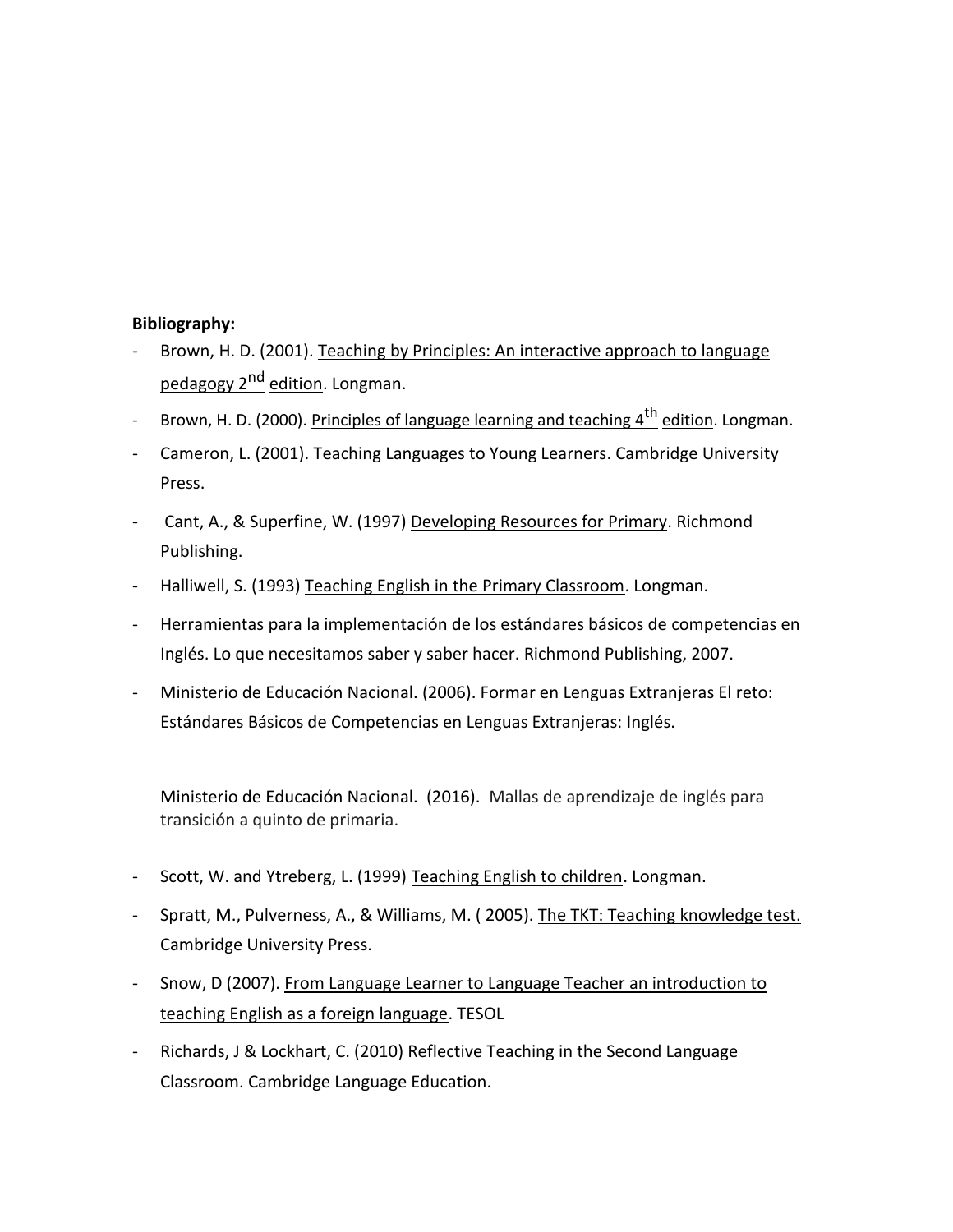## **Bibliography:**

- Brown, H. D. (2001). Teaching by Principles: An interactive approach to language pedagogy 2<sup>nd</sup> edition. Longman.
- Brown, H. D. (2000). Principles of language learning and teaching 4<sup>th</sup> edition. Longman.
- Cameron, L. (2001). Teaching Languages to Young Learners. Cambridge University Press.
- Cant, A., & Superfine, W. (1997) Developing Resources for Primary. Richmond Publishing.
- Halliwell, S. (1993) Teaching English in the Primary Classroom. Longman.
- Herramientas para la implementación de los estándares básicos de competencias en Inglés. Lo que necesitamos saber y saber hacer. Richmond Publishing, 2007.
- Ministerio de Educación Nacional. (2006). Formar en Lenguas Extranjeras El reto: Estándares Básicos de Competencias en Lenguas Extranjeras: Inglés.

Ministerio de Educación Nacional. (2016). Mallas de aprendizaje de inglés para transición a quinto de primaria.

- Scott, W. and Ytreberg, L. (1999) Teaching English to children. Longman.
- Spratt, M., Pulverness, A., & Williams, M. ( 2005). The TKT: Teaching knowledge test. Cambridge University Press.
- Snow, D (2007). From Language Learner to Language Teacher an introduction to teaching English as a foreign language. TESOL
- Richards, J & Lockhart, C. (2010) Reflective Teaching in the Second Language Classroom. Cambridge Language Education.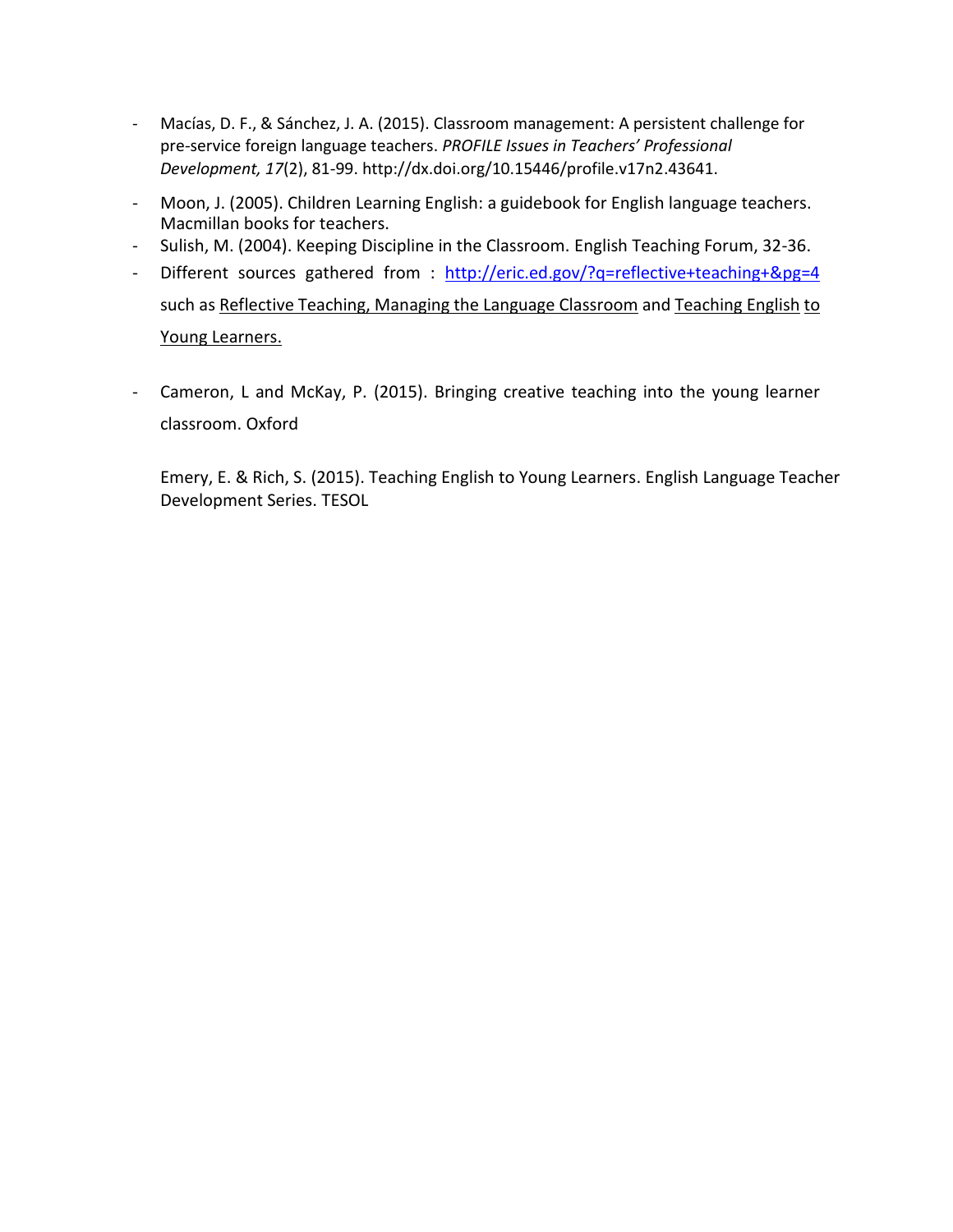- Macías, D. F., & Sánchez, J. A. (2015). Classroom management: A persistent challenge for pre-service foreign language teachers. *PROFILE Issues in Teachers' Professional Development, 17*(2), 81-99[. http://dx.doi.org/10.15446/profile.v17n2.43641.](http://dx.doi.org/10.15446/profile.v17n2.43641)
- Moon, J. (2005). Children Learning English: a guidebook for English language teachers. Macmillan books for teachers.
- Sulish, M. (2004). Keeping Discipline in the Classroom. English Teaching Forum, 32-36.
- Different sources gathered from : <http://eric.ed.gov/?q=reflective+teaching+&pg=4> such as Reflective Teaching, Managing the Language Classroom and Teaching English to Young Learners.
- Cameron, L and McKay, P. (2015). Bringing creative teaching into the young learner classroom. Oxford

Emery, E. & Rich, S. (2015). Teaching English to Young Learners. English Language Teacher Development Series. TESOL